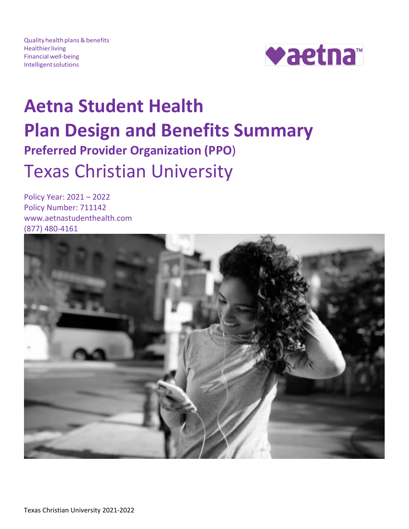Quality health plans & benefits **Healthier living** Financial well-being **Intelligent solutions** 



# **Aetna Student Health Plan Design and Benefits Summary Preferred Provider Organization (PPO**) Texas Christian University

Policy Year: 2021 – 2022 Policy Number: 711142 www.aetnastudenthealth.com (877) 480-4161

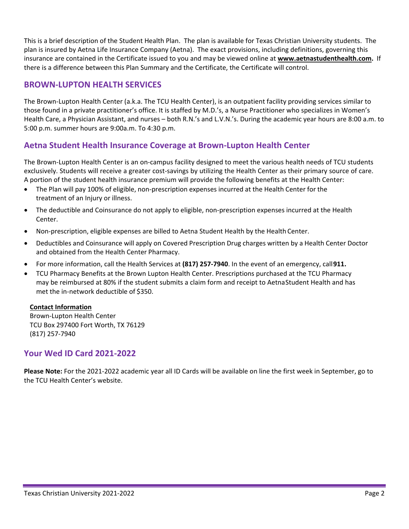This is a brief description of the Student Health Plan. The plan is available for Texas Christian University students. The plan is insured by Aetna Life Insurance Company (Aetna). The exact provisions, including definitions, governing this insurance are contained in the Certificate issued to you and may be viewed online at **[www.aetnastudenthealth.com.](http://www.aetnastudenthealth.com/)** If there is a difference between this Plan Summary and the Certificate, the Certificate will control.

# **BROWN-LUPTON HEALTH SERVICES**

The Brown-Lupton Health Center (a.k.a. The TCU Health Center), is an outpatient facility providing services similar to those found in a private practitioner's office. It is staffed by M.D.'s, a Nurse Practitioner who specializes in Women's Health Care, a Physician Assistant, and nurses – both R.N.'s and L.V.N.'s. During the academic year hours are 8:00 a.m. to 5:00 p.m. summer hours are 9:00a.m. To 4:30 p.m.

# **Aetna Student Health Insurance Coverage at Brown-Lupton Health Center**

The Brown-Lupton Health Center is an on-campus facility designed to meet the various health needs of TCU students exclusively. Students will receive a greater cost-savings by utilizing the Health Center as their primary source of care. A portion of the student health insurance premium will provide the following benefits at the Health Center:

- The Plan will pay 100% of eligible, non-prescription expenses incurred at the Health Center for the treatment of an Injury or illness.
- The deductible and Coinsurance do not apply to eligible, non-prescription expenses incurred at the Health Center.
- Non-prescription, eligible expenses are billed to Aetna Student Health by the Health Center.
- Deductibles and Coinsurance will apply on Covered Prescription Drug charges written by a Health Center Doctor and obtained from the Health Center Pharmacy.
- For more information, call the Health Services at **(817) 257-7940**. In the event of an emergency, call**911.**
- TCU Pharmacy Benefits at the Brown Lupton Health Center. Prescriptions purchased at the TCU Pharmacy may be reimbursed at 80% if the student submits a claim form and receipt to AetnaStudent Health and has met the in-network deductible of \$350.

# **Contact Information**

Brown-Lupton Health Center TCU Box 297400 Fort Worth, TX 76129 (817) 257-7940

# **Your Wed ID Card 2021-2022**

**Please Note:** For the 2021-2022 academic year all ID Cards will be available on line the first week in September, go to the TCU Health Center's website.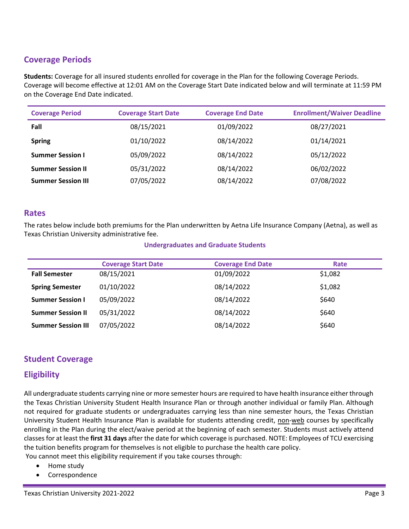# **Coverage Periods**

**Students:** Coverage for all insured students enrolled for coverage in the Plan for the following Coverage Periods. Coverage will become effective at 12:01 AM on the Coverage Start Date indicated below and will terminate at 11:59 PM on the Coverage End Date indicated.

| <b>Coverage Period</b>    | <b>Coverage Start Date</b> | <b>Coverage End Date</b> | <b>Enrollment/Waiver Deadline</b> |
|---------------------------|----------------------------|--------------------------|-----------------------------------|
| Fall                      | 08/15/2021                 | 01/09/2022               | 08/27/2021                        |
| <b>Spring</b>             | 01/10/2022                 | 08/14/2022               | 01/14/2021                        |
| <b>Summer Session I</b>   | 05/09/2022                 | 08/14/2022               | 05/12/2022                        |
| <b>Summer Session II</b>  | 05/31/2022                 | 08/14/2022               | 06/02/2022                        |
| <b>Summer Session III</b> | 07/05/2022                 | 08/14/2022               | 07/08/2022                        |

# **Rates**

The rates below include both premiums for the Plan underwritten by Aetna Life Insurance Company (Aetna), as well as Texas Christian University administrative fee.

#### **Undergraduates and Graduate Students**

|                           | <b>Coverage Start Date</b> | <b>Coverage End Date</b> | Rate    |
|---------------------------|----------------------------|--------------------------|---------|
| <b>Fall Semester</b>      | 08/15/2021                 | 01/09/2022               | \$1,082 |
| <b>Spring Semester</b>    | 01/10/2022                 | 08/14/2022               | \$1.082 |
| <b>Summer Session I</b>   | 05/09/2022                 | 08/14/2022               | \$640   |
| <b>Summer Session II</b>  | 05/31/2022                 | 08/14/2022               | \$640   |
| <b>Summer Session III</b> | 07/05/2022                 | 08/14/2022               | \$640   |

# **Student Coverage**

# **Eligibility**

All undergraduate students carrying nine or more semester hours are required to have health insurance either through the Texas Christian University Student Health Insurance Plan or through another individual or family Plan. Although not required for graduate students or undergraduates carrying less than nine semester hours, the Texas Christian University Student Health Insurance Plan is available for students attending credit, non-web courses by specifically enrolling in the Plan during the elect/waive period at the beginning of each semester. Students must actively attend classes for at least the **first 31 days** after the date for which coverage is purchased. NOTE: Employees of TCU exercising the tuition benefits program for themselves is not eligible to purchase the health care policy.

You cannot meet this eligibility requirement if you take courses through:

- Home study
- Correspondence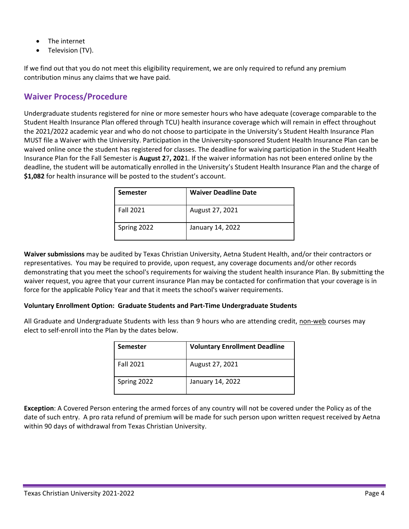- The internet
- Television (TV).

If we find out that you do not meet this eligibility requirement, we are only required to refund any premium contribution minus any claims that we have paid.

# **Waiver Process/Procedure**

Undergraduate students registered for nine or more semester hours who have adequate (coverage comparable to the Student Health Insurance Plan offered through TCU) health insurance coverage which will remain in effect throughout the 2021/2022 academic year and who do not choose to participate in the University's Student Health Insurance Plan MUST file a Waiver with the University. Participation in the University-sponsored Student Health Insurance Plan can be waived online once the student has registered for classes. The deadline for waiving participation in the Student Health Insurance Plan for the Fall Semester is **August 2**7**, 202**1. If the waiver information has not been entered online by the deadline, the student will be automatically enrolled in the University's Student Health Insurance Plan and the charge of **\$1,082** for health insurance will be posted to the student's account.

| <b>Semester</b>  | <b>Waiver Deadline Date</b> |
|------------------|-----------------------------|
| <b>Fall 2021</b> | August 27, 2021             |
| Spring 2022      | January 14, 2022            |

**Waiver submissions** may be audited by Texas Christian University, Aetna Student Health, and/or their contractors or representatives. You may be required to provide, upon request, any coverage documents and/or other records demonstrating that you meet the school's requirements for waiving the student health insurance Plan. By submitting the waiver request, you agree that your current insurance Plan may be contacted for confirmation that your coverage is in force for the applicable Policy Year and that it meets the school's waiver requirements.

#### **Voluntary Enrollment Option: Graduate Students and Part-Time Undergraduate Students**

All Graduate and Undergraduate Students with less than 9 hours who are attending credit, non-web courses may elect to self-enroll into the Plan by the dates below.

| <b>Semester</b>  | <b>Voluntary Enrollment Deadline</b> |
|------------------|--------------------------------------|
| <b>Fall 2021</b> | August 27, 2021                      |
| Spring 2022      | January 14, 2022                     |

**Exception**: A Covered Person entering the armed forces of any country will not be covered under the Policy as of the date of such entry. A pro rata refund of premium will be made for such person upon written request received by Aetna within 90 days of withdrawal from Texas Christian University.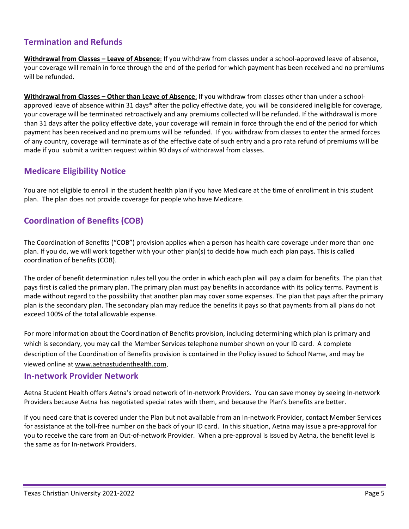# **Termination and Refunds**

**Withdrawal from Classes – Leave of Absence**: If you withdraw from classes under a school-approved leave of absence, your coverage will remain in force through the end of the period for which payment has been received and no premiums will be refunded.

**Withdrawal from Classes – Other than Leave of Absence**: If you withdraw from classes other than under a schoolapproved leave of absence within 31 days\* after the policy effective date, you will be considered ineligible for coverage, your coverage will be terminated retroactively and any premiums collected will be refunded. If the withdrawal is more than 31 days after the policy effective date, your coverage will remain in force through the end of the period for which payment has been received and no premiums will be refunded. If you withdraw from classes to enter the armed forces of any country, coverage will terminate as of the effective date of such entry and a pro rata refund of premiums will be made if you submit a written request within 90 days of withdrawal from classes.

# **Medicare Eligibility Notice**

You are not eligible to enroll in the student health plan if you have Medicare at the time of enrollment in this student plan. The plan does not provide coverage for people who have Medicare.

# **Coordination of Benefits (COB)**

The Coordination of Benefits ("COB") provision applies when a person has health care coverage under more than one plan. If you do, we will work together with your other plan(s) to decide how much each plan pays. This is called coordination of benefits (COB).

The order of benefit determination rules tell you the order in which each plan will pay a claim for benefits. The plan that pays first is called the primary plan. The primary plan must pay benefits in accordance with its policy terms. Payment is made without regard to the possibility that another plan may cover some expenses. The plan that pays after the primary plan is the secondary plan. The secondary plan may reduce the benefits it pays so that payments from all plans do not exceed 100% of the total allowable expense.

For more information about the Coordination of Benefits provision, including determining which plan is primary and which is secondary, you may call the Member Services telephone number shown on your ID card. A complete description of the Coordination of Benefits provision is contained in the Policy issued to School Name, and may be viewed online at [www.aetnastudenthealth.com.](http://www.aetnastudenthealth.com/)

# **In-network Provider Network**

Aetna Student Health offers Aetna's broad network of In-network Providers. You can save money by seeing In-network Providers because Aetna has negotiated special rates with them, and because the Plan's benefits are better.

If you need care that is covered under the Plan but not available from an In-network Provider, contact Member Services for assistance at the toll-free number on the back of your ID card. In this situation, Aetna may issue a pre-approval for you to receive the care from an Out-of-network Provider. When a pre-approval is issued by Aetna, the benefit level is the same as for In-network Providers.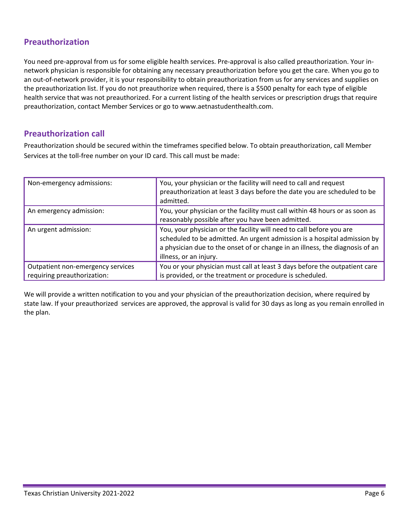# **Preauthorization**

You need pre-approval from us for some eligible health services. Pre-approval is also called preauthorization. Your innetwork physician is responsible for obtaining any necessary preauthorization before you get the care. When you go to an out-of-network provider, it is your responsibility to obtain preauthorization from us for any services and supplies on the preauthorization list. If you do not preauthorize when required, there is a \$500 penalty for each type of eligible health service that was not preauthorized. For a current listing of the health services or prescription drugs that require preauthorization, contact Member Services or go to www.aetnastudenthealth.com.

# **Preauthorization call**

Preauthorization should be secured within the timeframes specified below. To obtain preauthorization, call Member Services at the toll-free number on your ID card. This call must be made:

| Non-emergency admissions:                                        | You, your physician or the facility will need to call and request<br>preauthorization at least 3 days before the date you are scheduled to be<br>admitted.                                                                                                 |
|------------------------------------------------------------------|------------------------------------------------------------------------------------------------------------------------------------------------------------------------------------------------------------------------------------------------------------|
| An emergency admission:                                          | You, your physician or the facility must call within 48 hours or as soon as<br>reasonably possible after you have been admitted.                                                                                                                           |
| An urgent admission:                                             | You, your physician or the facility will need to call before you are<br>scheduled to be admitted. An urgent admission is a hospital admission by<br>a physician due to the onset of or change in an illness, the diagnosis of an<br>illness, or an injury. |
| Outpatient non-emergency services<br>requiring preauthorization: | You or your physician must call at least 3 days before the outpatient care<br>is provided, or the treatment or procedure is scheduled.                                                                                                                     |

We will provide a written notification to you and your physician of the preauthorization decision, where required by state law. If your preauthorized services are approved, the approval is valid for 30 days as long as you remain enrolled in the plan.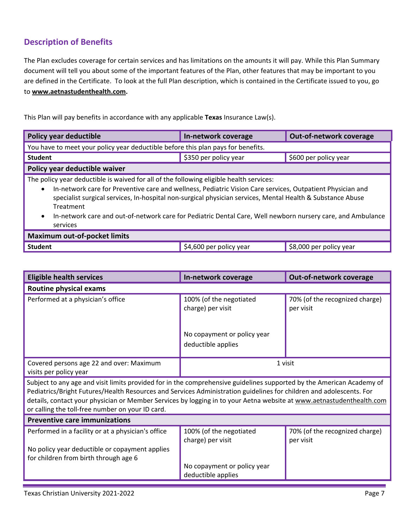# **Description of Benefits**

The Plan excludes coverage for certain services and has limitations on the amounts it will pay. While this Plan Summary document will tell you about some of the important features of the Plan, other features that may be important to you are defined in the Certificate. To look at the full Plan description, which is contained in the Certificate issued to you, go to **[www.aetnastudenthealth.com.](http://www.aetnastudenthealth.com/)** 

This Plan will pay benefits in accordance with any applicable **Texas** Insurance Law(s).

| Policy year deductible                                                                                                                                                                                                                                                                                                                                                                                                                                                                | In-network coverage   | Out-of-network coverage |  |
|---------------------------------------------------------------------------------------------------------------------------------------------------------------------------------------------------------------------------------------------------------------------------------------------------------------------------------------------------------------------------------------------------------------------------------------------------------------------------------------|-----------------------|-------------------------|--|
| You have to meet your policy year deductible before this plan pays for benefits.                                                                                                                                                                                                                                                                                                                                                                                                      |                       |                         |  |
| <b>Student</b>                                                                                                                                                                                                                                                                                                                                                                                                                                                                        | \$350 per policy year | \$600 per policy year   |  |
| Policy year deductible waiver                                                                                                                                                                                                                                                                                                                                                                                                                                                         |                       |                         |  |
| The policy year deductible is waived for all of the following eligible health services:<br>In-network care for Preventive care and wellness, Pediatric Vision Care services, Outpatient Physician and<br>$\bullet$<br>specialist surgical services, In-hospital non-surgical physician services, Mental Health & Substance Abuse<br>Treatment<br>In-network care and out-of-network care for Pediatric Dental Care, Well newborn nursery care, and Ambulance<br>$\bullet$<br>services |                       |                         |  |
| <b>Maximum out-of-pocket limits</b>                                                                                                                                                                                                                                                                                                                                                                                                                                                   |                       |                         |  |

| <b>Student</b> | \$4,600 per policy year | √\$8,000 per policy year |
|----------------|-------------------------|--------------------------|

| <b>Eligible health services</b>                                                                                                                                                                                                                                                                                                                                                                                          | In-network coverage                               | Out-of-network coverage                     |  |  |
|--------------------------------------------------------------------------------------------------------------------------------------------------------------------------------------------------------------------------------------------------------------------------------------------------------------------------------------------------------------------------------------------------------------------------|---------------------------------------------------|---------------------------------------------|--|--|
| <b>Routine physical exams</b>                                                                                                                                                                                                                                                                                                                                                                                            |                                                   |                                             |  |  |
| Performed at a physician's office                                                                                                                                                                                                                                                                                                                                                                                        | 100% (of the negotiated<br>charge) per visit      | 70% (of the recognized charge)<br>per visit |  |  |
|                                                                                                                                                                                                                                                                                                                                                                                                                          | No copayment or policy year<br>deductible applies |                                             |  |  |
| Covered persons age 22 and over: Maximum<br>visits per policy year                                                                                                                                                                                                                                                                                                                                                       | 1 visit                                           |                                             |  |  |
| Subject to any age and visit limits provided for in the comprehensive guidelines supported by the American Academy of<br>Pediatrics/Bright Futures/Health Resources and Services Administration guidelines for children and adolescents. For<br>details, contact your physician or Member Services by logging in to your Aetna website at www.aetnastudenthealth.com<br>or calling the toll-free number on your ID card. |                                                   |                                             |  |  |
| <b>Preventive care immunizations</b>                                                                                                                                                                                                                                                                                                                                                                                     |                                                   |                                             |  |  |
| Performed in a facility or at a physician's office                                                                                                                                                                                                                                                                                                                                                                       | 100% (of the negotiated<br>charge) per visit      | 70% (of the recognized charge)<br>per visit |  |  |
| No policy year deductible or copayment applies<br>for children from birth through age 6                                                                                                                                                                                                                                                                                                                                  | No copayment or policy year<br>deductible applies |                                             |  |  |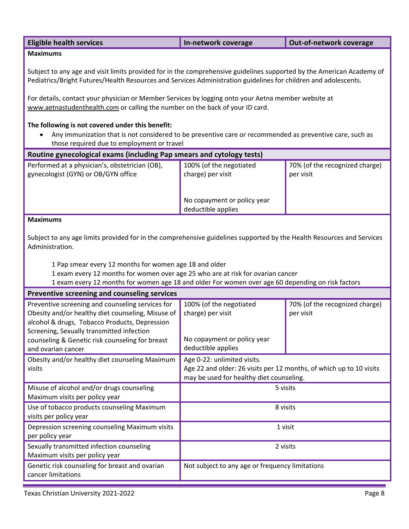| <b>Eligible health services</b> | In-network coverage | Out-of-network coverage |
|---------------------------------|---------------------|-------------------------|
| <b>Maximums</b>                 |                     |                         |

Subject to any age and visit limits provided for in the comprehensive guidelines supported by the American Academy of Pediatrics/Bright Futures/Health Resources and Services Administration guidelines for children and adolescents.

For details, contact your physician or Member Services by logging onto your Aetna member website at [www.aetnastudenthealth.com](http://www.aetnastudenthealth.com/) or calling the number on the back of your ID card.

### **The following is not covered under this benefit:**

• Any immunization that is not considered to be preventive care or recommended as preventive care, such as those required due to employment or travel

| Performed at a physician's, obstetrician (OB),<br>100% (of the negotiated<br>70% (of the recognized charge)<br>gynecologist (GYN) or OB/GYN office<br>charge) per visit<br>per visit<br>No copayment or policy year<br>deductible applies<br><b>Maximums</b><br>Subject to any age limits provided for in the comprehensive guidelines supported by the Health Resources and Services<br>Administration.<br>1 Pap smear every 12 months for women age 18 and older<br>1 exam every 12 months for women over age 25 who are at risk for ovarian cancer<br>1 exam every 12 months for women age 18 and older For women over age 60 depending on risk factors<br>Preventive screening and counseling services<br>Preventive screening and counseling services for<br>100% (of the negotiated<br>70% (of the recognized charge)<br>Obesity and/or healthy diet counseling, Misuse of<br>charge) per visit<br>per visit<br>alcohol & drugs, Tobacco Products, Depression<br>Screening, Sexually transmitted infection<br>No copayment or policy year<br>counseling & Genetic risk counseling for breast<br>deductible applies<br>and ovarian cancer<br>Obesity and/or healthy diet counseling Maximum<br>Age 0-22: unlimited visits.<br>Age 22 and older: 26 visits per 12 months, of which up to 10 visits<br>visits<br>may be used for healthy diet counseling.<br>Misuse of alcohol and/or drugs counseling<br>5 visits<br>Maximum visits per policy year<br>Use of tobacco products counseling Maximum<br>8 visits<br>visits per policy year<br>Depression screening counseling Maximum visits<br>1 visit<br>per policy year<br>Sexually transmitted infection counseling<br>2 visits<br>Maximum visits per policy year<br>Genetic risk counseling for breast and ovarian<br>Not subject to any age or frequency limitations<br>cancer limitations | Routine gynecological exams (including Pap smears and cytology tests) |  |  |  |  |
|---------------------------------------------------------------------------------------------------------------------------------------------------------------------------------------------------------------------------------------------------------------------------------------------------------------------------------------------------------------------------------------------------------------------------------------------------------------------------------------------------------------------------------------------------------------------------------------------------------------------------------------------------------------------------------------------------------------------------------------------------------------------------------------------------------------------------------------------------------------------------------------------------------------------------------------------------------------------------------------------------------------------------------------------------------------------------------------------------------------------------------------------------------------------------------------------------------------------------------------------------------------------------------------------------------------------------------------------------------------------------------------------------------------------------------------------------------------------------------------------------------------------------------------------------------------------------------------------------------------------------------------------------------------------------------------------------------------------------------------------------------------------------------------------------------------------------------------------------|-----------------------------------------------------------------------|--|--|--|--|
|                                                                                                                                                                                                                                                                                                                                                                                                                                                                                                                                                                                                                                                                                                                                                                                                                                                                                                                                                                                                                                                                                                                                                                                                                                                                                                                                                                                                                                                                                                                                                                                                                                                                                                                                                                                                                                                   |                                                                       |  |  |  |  |
|                                                                                                                                                                                                                                                                                                                                                                                                                                                                                                                                                                                                                                                                                                                                                                                                                                                                                                                                                                                                                                                                                                                                                                                                                                                                                                                                                                                                                                                                                                                                                                                                                                                                                                                                                                                                                                                   |                                                                       |  |  |  |  |
|                                                                                                                                                                                                                                                                                                                                                                                                                                                                                                                                                                                                                                                                                                                                                                                                                                                                                                                                                                                                                                                                                                                                                                                                                                                                                                                                                                                                                                                                                                                                                                                                                                                                                                                                                                                                                                                   |                                                                       |  |  |  |  |
|                                                                                                                                                                                                                                                                                                                                                                                                                                                                                                                                                                                                                                                                                                                                                                                                                                                                                                                                                                                                                                                                                                                                                                                                                                                                                                                                                                                                                                                                                                                                                                                                                                                                                                                                                                                                                                                   |                                                                       |  |  |  |  |
|                                                                                                                                                                                                                                                                                                                                                                                                                                                                                                                                                                                                                                                                                                                                                                                                                                                                                                                                                                                                                                                                                                                                                                                                                                                                                                                                                                                                                                                                                                                                                                                                                                                                                                                                                                                                                                                   |                                                                       |  |  |  |  |
|                                                                                                                                                                                                                                                                                                                                                                                                                                                                                                                                                                                                                                                                                                                                                                                                                                                                                                                                                                                                                                                                                                                                                                                                                                                                                                                                                                                                                                                                                                                                                                                                                                                                                                                                                                                                                                                   |                                                                       |  |  |  |  |
|                                                                                                                                                                                                                                                                                                                                                                                                                                                                                                                                                                                                                                                                                                                                                                                                                                                                                                                                                                                                                                                                                                                                                                                                                                                                                                                                                                                                                                                                                                                                                                                                                                                                                                                                                                                                                                                   |                                                                       |  |  |  |  |
|                                                                                                                                                                                                                                                                                                                                                                                                                                                                                                                                                                                                                                                                                                                                                                                                                                                                                                                                                                                                                                                                                                                                                                                                                                                                                                                                                                                                                                                                                                                                                                                                                                                                                                                                                                                                                                                   |                                                                       |  |  |  |  |
|                                                                                                                                                                                                                                                                                                                                                                                                                                                                                                                                                                                                                                                                                                                                                                                                                                                                                                                                                                                                                                                                                                                                                                                                                                                                                                                                                                                                                                                                                                                                                                                                                                                                                                                                                                                                                                                   |                                                                       |  |  |  |  |
|                                                                                                                                                                                                                                                                                                                                                                                                                                                                                                                                                                                                                                                                                                                                                                                                                                                                                                                                                                                                                                                                                                                                                                                                                                                                                                                                                                                                                                                                                                                                                                                                                                                                                                                                                                                                                                                   |                                                                       |  |  |  |  |
|                                                                                                                                                                                                                                                                                                                                                                                                                                                                                                                                                                                                                                                                                                                                                                                                                                                                                                                                                                                                                                                                                                                                                                                                                                                                                                                                                                                                                                                                                                                                                                                                                                                                                                                                                                                                                                                   |                                                                       |  |  |  |  |
|                                                                                                                                                                                                                                                                                                                                                                                                                                                                                                                                                                                                                                                                                                                                                                                                                                                                                                                                                                                                                                                                                                                                                                                                                                                                                                                                                                                                                                                                                                                                                                                                                                                                                                                                                                                                                                                   |                                                                       |  |  |  |  |
|                                                                                                                                                                                                                                                                                                                                                                                                                                                                                                                                                                                                                                                                                                                                                                                                                                                                                                                                                                                                                                                                                                                                                                                                                                                                                                                                                                                                                                                                                                                                                                                                                                                                                                                                                                                                                                                   |                                                                       |  |  |  |  |
|                                                                                                                                                                                                                                                                                                                                                                                                                                                                                                                                                                                                                                                                                                                                                                                                                                                                                                                                                                                                                                                                                                                                                                                                                                                                                                                                                                                                                                                                                                                                                                                                                                                                                                                                                                                                                                                   |                                                                       |  |  |  |  |
|                                                                                                                                                                                                                                                                                                                                                                                                                                                                                                                                                                                                                                                                                                                                                                                                                                                                                                                                                                                                                                                                                                                                                                                                                                                                                                                                                                                                                                                                                                                                                                                                                                                                                                                                                                                                                                                   |                                                                       |  |  |  |  |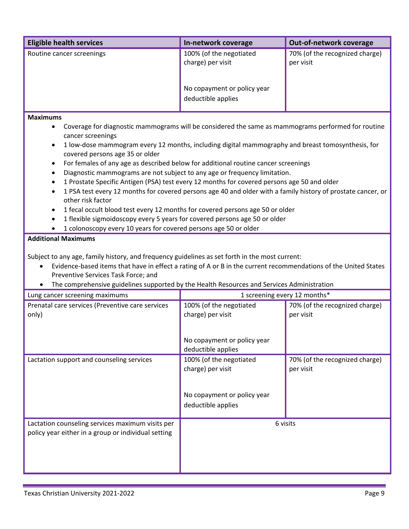| <b>Eligible health services</b>                                                                                                                                                                                                                                                                                                                                     | In-network coverage                                                                                                                                                                                                                                                                                                                                                                          | Out-of-network coverage                     |  |
|---------------------------------------------------------------------------------------------------------------------------------------------------------------------------------------------------------------------------------------------------------------------------------------------------------------------------------------------------------------------|----------------------------------------------------------------------------------------------------------------------------------------------------------------------------------------------------------------------------------------------------------------------------------------------------------------------------------------------------------------------------------------------|---------------------------------------------|--|
| Routine cancer screenings                                                                                                                                                                                                                                                                                                                                           | 100% (of the negotiated                                                                                                                                                                                                                                                                                                                                                                      | 70% (of the recognized charge)              |  |
|                                                                                                                                                                                                                                                                                                                                                                     | charge) per visit                                                                                                                                                                                                                                                                                                                                                                            | per visit                                   |  |
|                                                                                                                                                                                                                                                                                                                                                                     |                                                                                                                                                                                                                                                                                                                                                                                              |                                             |  |
|                                                                                                                                                                                                                                                                                                                                                                     |                                                                                                                                                                                                                                                                                                                                                                                              |                                             |  |
|                                                                                                                                                                                                                                                                                                                                                                     | No copayment or policy year                                                                                                                                                                                                                                                                                                                                                                  |                                             |  |
|                                                                                                                                                                                                                                                                                                                                                                     | deductible applies                                                                                                                                                                                                                                                                                                                                                                           |                                             |  |
| <b>Maximums</b>                                                                                                                                                                                                                                                                                                                                                     |                                                                                                                                                                                                                                                                                                                                                                                              |                                             |  |
| $\bullet$<br>cancer screenings<br>$\bullet$<br>covered persons age 35 or older<br>٠<br>Diagnostic mammograms are not subject to any age or frequency limitation.<br>٠<br>$\bullet$<br>1 PSA test every 12 months for covered persons age 40 and older with a family history of prostate cancer, or                                                                  | Coverage for diagnostic mammograms will be considered the same as mammograms performed for routine<br>1 low-dose mammogram every 12 months, including digital mammography and breast tomosynthesis, for<br>For females of any age as described below for additional routine cancer screenings<br>1 Prostate Specific Antigen (PSA) test every 12 months for covered persons age 50 and older |                                             |  |
| other risk factor                                                                                                                                                                                                                                                                                                                                                   |                                                                                                                                                                                                                                                                                                                                                                                              |                                             |  |
| 1 fecal occult blood test every 12 months for covered persons age 50 or older<br>٠                                                                                                                                                                                                                                                                                  |                                                                                                                                                                                                                                                                                                                                                                                              |                                             |  |
| 1 flexible sigmoidoscopy every 5 years for covered persons age 50 or older<br>$\bullet$                                                                                                                                                                                                                                                                             |                                                                                                                                                                                                                                                                                                                                                                                              |                                             |  |
| 1 colonoscopy every 10 years for covered persons age 50 or older                                                                                                                                                                                                                                                                                                    |                                                                                                                                                                                                                                                                                                                                                                                              |                                             |  |
| <b>Additional Maximums</b>                                                                                                                                                                                                                                                                                                                                          |                                                                                                                                                                                                                                                                                                                                                                                              |                                             |  |
| Subject to any age, family history, and frequency guidelines as set forth in the most current:<br>Evidence-based items that have in effect a rating of A or B in the current recommendations of the United States<br>$\bullet$<br>Preventive Services Task Force; and<br>The comprehensive guidelines supported by the Health Resources and Services Administration |                                                                                                                                                                                                                                                                                                                                                                                              |                                             |  |
| Lung cancer screening maximums                                                                                                                                                                                                                                                                                                                                      |                                                                                                                                                                                                                                                                                                                                                                                              | 1 screening every 12 months*                |  |
| Prenatal care services (Preventive care services                                                                                                                                                                                                                                                                                                                    | 100% (of the negotiated                                                                                                                                                                                                                                                                                                                                                                      | 70% (of the recognized charge)              |  |
| only)                                                                                                                                                                                                                                                                                                                                                               | charge) per visit                                                                                                                                                                                                                                                                                                                                                                            | per visit                                   |  |
|                                                                                                                                                                                                                                                                                                                                                                     |                                                                                                                                                                                                                                                                                                                                                                                              |                                             |  |
|                                                                                                                                                                                                                                                                                                                                                                     | No copayment or policy year<br>deductible applies                                                                                                                                                                                                                                                                                                                                            |                                             |  |
| Lactation support and counseling services                                                                                                                                                                                                                                                                                                                           | 100% (of the negotiated<br>charge) per visit                                                                                                                                                                                                                                                                                                                                                 | 70% (of the recognized charge)<br>per visit |  |
|                                                                                                                                                                                                                                                                                                                                                                     | No copayment or policy year<br>deductible applies                                                                                                                                                                                                                                                                                                                                            |                                             |  |
| Lactation counseling services maximum visits per<br>policy year either in a group or individual setting                                                                                                                                                                                                                                                             | 6 visits                                                                                                                                                                                                                                                                                                                                                                                     |                                             |  |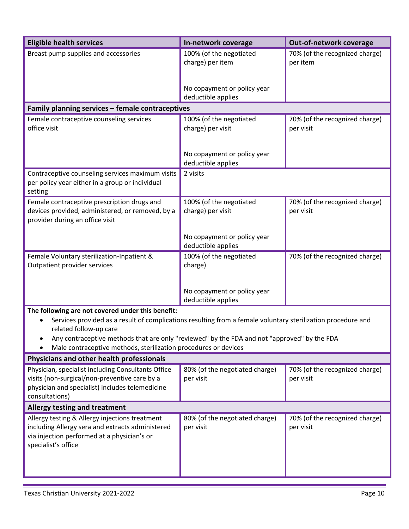| <b>Eligible health services</b>                                                                                                                                          | In-network coverage                               | Out-of-network coverage                     |  |
|--------------------------------------------------------------------------------------------------------------------------------------------------------------------------|---------------------------------------------------|---------------------------------------------|--|
| Breast pump supplies and accessories                                                                                                                                     | 100% (of the negotiated<br>charge) per item       | 70% (of the recognized charge)<br>per item  |  |
|                                                                                                                                                                          | No copayment or policy year<br>deductible applies |                                             |  |
| Family planning services - female contraceptives                                                                                                                         |                                                   |                                             |  |
| Female contraceptive counseling services<br>office visit                                                                                                                 | 100% (of the negotiated<br>charge) per visit      | 70% (of the recognized charge)<br>per visit |  |
|                                                                                                                                                                          | No copayment or policy year<br>deductible applies |                                             |  |
| Contraceptive counseling services maximum visits<br>per policy year either in a group or individual<br>setting                                                           | 2 visits                                          |                                             |  |
| Female contraceptive prescription drugs and<br>devices provided, administered, or removed, by a<br>provider during an office visit                                       | 100% (of the negotiated<br>charge) per visit      | 70% (of the recognized charge)<br>per visit |  |
|                                                                                                                                                                          | No copayment or policy year<br>deductible applies |                                             |  |
| Female Voluntary sterilization-Inpatient &<br>Outpatient provider services                                                                                               | 100% (of the negotiated<br>charge)                | 70% (of the recognized charge)              |  |
|                                                                                                                                                                          | No copayment or policy year<br>deductible applies |                                             |  |
| The following are not covered under this benefit:                                                                                                                        |                                                   |                                             |  |
| Services provided as a result of complications resulting from a female voluntary sterilization procedure and<br>related follow-up care                                   |                                                   |                                             |  |
| Any contraceptive methods that are only "reviewed" by the FDA and not "approved" by the FDA                                                                              |                                                   |                                             |  |
| Male contraceptive methods, sterilization procedures or devices                                                                                                          |                                                   |                                             |  |
| Physicians and other health professionals                                                                                                                                |                                                   |                                             |  |
| Physician, specialist including Consultants Office<br>visits (non-surgical/non-preventive care by a<br>physician and specialist) includes telemedicine<br>consultations) | 80% (of the negotiated charge)<br>per visit       | 70% (of the recognized charge)<br>per visit |  |
| <b>Allergy testing and treatment</b>                                                                                                                                     |                                                   |                                             |  |
| Allergy testing & Allergy injections treatment<br>including Allergy sera and extracts administered<br>via injection performed at a physician's or<br>specialist's office | 80% (of the negotiated charge)<br>per visit       | 70% (of the recognized charge)<br>per visit |  |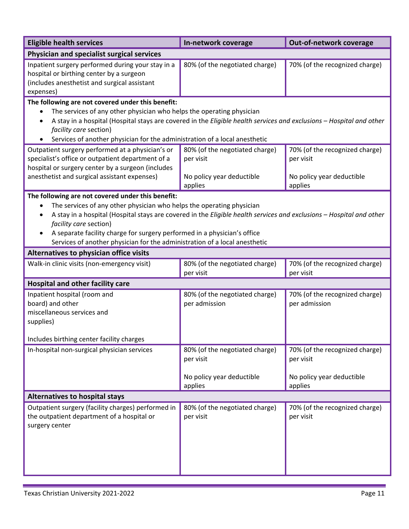| <b>Eligible health services</b>                                                                                                                                                                                                                                                                                                                                                                                                                                       | In-network coverage                             | Out-of-network coverage                         |
|-----------------------------------------------------------------------------------------------------------------------------------------------------------------------------------------------------------------------------------------------------------------------------------------------------------------------------------------------------------------------------------------------------------------------------------------------------------------------|-------------------------------------------------|-------------------------------------------------|
| Physician and specialist surgical services                                                                                                                                                                                                                                                                                                                                                                                                                            |                                                 |                                                 |
| Inpatient surgery performed during your stay in a<br>hospital or birthing center by a surgeon<br>(includes anesthetist and surgical assistant<br>expenses)                                                                                                                                                                                                                                                                                                            | 80% (of the negotiated charge)                  | 70% (of the recognized charge)                  |
| The following are not covered under this benefit:                                                                                                                                                                                                                                                                                                                                                                                                                     |                                                 |                                                 |
| The services of any other physician who helps the operating physician<br>٠<br>A stay in a hospital (Hospital stays are covered in the Eligible health services and exclusions - Hospital and other<br>$\bullet$<br>facility care section)<br>Services of another physician for the administration of a local anesthetic                                                                                                                                               |                                                 |                                                 |
| Outpatient surgery performed at a physician's or<br>specialist's office or outpatient department of a<br>hospital or surgery center by a surgeon (includes                                                                                                                                                                                                                                                                                                            | 80% (of the negotiated charge)<br>per visit     | 70% (of the recognized charge)<br>per visit     |
| anesthetist and surgical assistant expenses)                                                                                                                                                                                                                                                                                                                                                                                                                          | No policy year deductible<br>applies            | No policy year deductible<br>applies            |
| The following are not covered under this benefit:<br>The services of any other physician who helps the operating physician<br>$\bullet$<br>A stay in a hospital (Hospital stays are covered in the Eligible health services and exclusions - Hospital and other<br>٠<br>facility care section)<br>A separate facility charge for surgery performed in a physician's office<br>$\bullet$<br>Services of another physician for the administration of a local anesthetic |                                                 |                                                 |
| Alternatives to physician office visits                                                                                                                                                                                                                                                                                                                                                                                                                               |                                                 |                                                 |
| Walk-in clinic visits (non-emergency visit)                                                                                                                                                                                                                                                                                                                                                                                                                           | 80% (of the negotiated charge)<br>per visit     | 70% (of the recognized charge)<br>per visit     |
| <b>Hospital and other facility care</b>                                                                                                                                                                                                                                                                                                                                                                                                                               |                                                 |                                                 |
| Inpatient hospital (room and<br>board) and other<br>miscellaneous services and<br>supplies)                                                                                                                                                                                                                                                                                                                                                                           | 80% (of the negotiated charge)<br>per admission | 70% (of the recognized charge)<br>per admission |
| Includes birthing center facility charges                                                                                                                                                                                                                                                                                                                                                                                                                             |                                                 |                                                 |
| In-hospital non-surgical physician services                                                                                                                                                                                                                                                                                                                                                                                                                           | 80% (of the negotiated charge)<br>per visit     | 70% (of the recognized charge)<br>per visit     |
|                                                                                                                                                                                                                                                                                                                                                                                                                                                                       | No policy year deductible<br>applies            | No policy year deductible<br>applies            |
| <b>Alternatives to hospital stays</b>                                                                                                                                                                                                                                                                                                                                                                                                                                 |                                                 |                                                 |
| Outpatient surgery (facility charges) performed in<br>the outpatient department of a hospital or<br>surgery center                                                                                                                                                                                                                                                                                                                                                    | 80% (of the negotiated charge)<br>per visit     | 70% (of the recognized charge)<br>per visit     |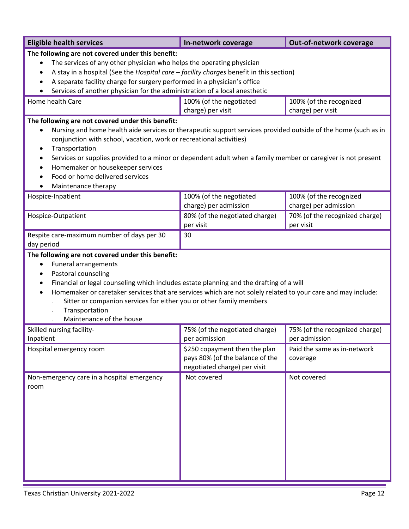| <b>Eligible health services</b>                                                                                                                                                                                                                                                                                                                                                                                                                                                                                    | In-network coverage                                                                              | Out-of-network coverage                          |
|--------------------------------------------------------------------------------------------------------------------------------------------------------------------------------------------------------------------------------------------------------------------------------------------------------------------------------------------------------------------------------------------------------------------------------------------------------------------------------------------------------------------|--------------------------------------------------------------------------------------------------|--------------------------------------------------|
| The following are not covered under this benefit:<br>The services of any other physician who helps the operating physician<br>$\bullet$<br>A stay in a hospital (See the Hospital care - facility charges benefit in this section)<br>$\bullet$<br>A separate facility charge for surgery performed in a physician's office<br>Services of another physician for the administration of a local anesthetic                                                                                                          |                                                                                                  |                                                  |
| Home health Care                                                                                                                                                                                                                                                                                                                                                                                                                                                                                                   | 100% (of the negotiated<br>charge) per visit                                                     | 100% (of the recognized<br>charge) per visit     |
| The following are not covered under this benefit:<br>Nursing and home health aide services or therapeutic support services provided outside of the home (such as in<br>$\bullet$<br>conjunction with school, vacation, work or recreational activities)<br>Transportation<br>$\bullet$<br>Services or supplies provided to a minor or dependent adult when a family member or caregiver is not present<br>$\bullet$<br>Homemaker or housekeeper services<br>Food or home delivered services<br>Maintenance therapy |                                                                                                  |                                                  |
| Hospice-Inpatient                                                                                                                                                                                                                                                                                                                                                                                                                                                                                                  | 100% (of the negotiated<br>charge) per admission                                                 | 100% (of the recognized<br>charge) per admission |
| Hospice-Outpatient                                                                                                                                                                                                                                                                                                                                                                                                                                                                                                 | 80% (of the negotiated charge)<br>per visit                                                      | 70% (of the recognized charge)<br>per visit      |
| Respite care-maximum number of days per 30<br>day period                                                                                                                                                                                                                                                                                                                                                                                                                                                           | 30                                                                                               |                                                  |
| The following are not covered under this benefit:<br><b>Funeral arrangements</b><br>$\bullet$<br>Pastoral counseling<br>$\bullet$<br>Financial or legal counseling which includes estate planning and the drafting of a will<br>٠<br>Homemaker or caretaker services that are services which are not solely related to your care and may include:<br>Sitter or companion services for either you or other family members<br>Transportation<br>Maintenance of the house                                             |                                                                                                  |                                                  |
| Skilled nursing facility-<br>Inpatient                                                                                                                                                                                                                                                                                                                                                                                                                                                                             | 75% (of the negotiated charge)<br>per admission                                                  | 75% (of the recognized charge)<br>per admission  |
| Hospital emergency room                                                                                                                                                                                                                                                                                                                                                                                                                                                                                            | \$250 copayment then the plan<br>pays 80% (of the balance of the<br>negotiated charge) per visit | Paid the same as in-network<br>coverage          |
| Non-emergency care in a hospital emergency<br>room                                                                                                                                                                                                                                                                                                                                                                                                                                                                 | Not covered                                                                                      | Not covered                                      |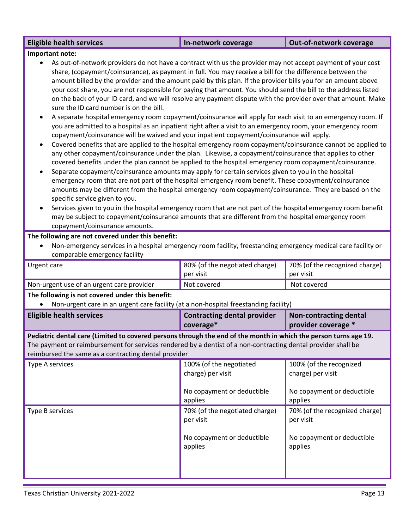| <b>Eligible health services</b>                                                                                                                                                                                                                                                                                                                                                                                                                                                                                                                                                                                                                                                                                                                                                                                                                                                                                                                                                                                                                                                                                                                                                                                                                                                                                                                                                                                                                                                                                                                                                                                                                                                                                                                                                                                                                                                                                                                            | In-network coverage                                                                   | Out-of-network coverage                                                               |  |
|------------------------------------------------------------------------------------------------------------------------------------------------------------------------------------------------------------------------------------------------------------------------------------------------------------------------------------------------------------------------------------------------------------------------------------------------------------------------------------------------------------------------------------------------------------------------------------------------------------------------------------------------------------------------------------------------------------------------------------------------------------------------------------------------------------------------------------------------------------------------------------------------------------------------------------------------------------------------------------------------------------------------------------------------------------------------------------------------------------------------------------------------------------------------------------------------------------------------------------------------------------------------------------------------------------------------------------------------------------------------------------------------------------------------------------------------------------------------------------------------------------------------------------------------------------------------------------------------------------------------------------------------------------------------------------------------------------------------------------------------------------------------------------------------------------------------------------------------------------------------------------------------------------------------------------------------------------|---------------------------------------------------------------------------------------|---------------------------------------------------------------------------------------|--|
| Important note:<br>As out-of-network providers do not have a contract with us the provider may not accept payment of your cost<br>share, (copayment/coinsurance), as payment in full. You may receive a bill for the difference between the<br>amount billed by the provider and the amount paid by this plan. If the provider bills you for an amount above<br>your cost share, you are not responsible for paying that amount. You should send the bill to the address listed<br>on the back of your ID card, and we will resolve any payment dispute with the provider over that amount. Make<br>sure the ID card number is on the bill.<br>A separate hospital emergency room copayment/coinsurance will apply for each visit to an emergency room. If<br>you are admitted to a hospital as an inpatient right after a visit to an emergency room, your emergency room<br>copayment/coinsurance will be waived and your inpatient copayment/coinsurance will apply.<br>Covered benefits that are applied to the hospital emergency room copayment/coinsurance cannot be applied to<br>$\bullet$<br>any other copayment/coinsurance under the plan. Likewise, a copayment/coinsurance that applies to other<br>covered benefits under the plan cannot be applied to the hospital emergency room copayment/coinsurance.<br>Separate copayment/coinsurance amounts may apply for certain services given to you in the hospital<br>$\bullet$<br>emergency room that are not part of the hospital emergency room benefit. These copayment/coinsurance<br>amounts may be different from the hospital emergency room copayment/coinsurance. They are based on the<br>specific service given to you.<br>Services given to you in the hospital emergency room that are not part of the hospital emergency room benefit<br>may be subject to copayment/coinsurance amounts that are different from the hospital emergency room<br>copayment/coinsurance amounts. |                                                                                       |                                                                                       |  |
|                                                                                                                                                                                                                                                                                                                                                                                                                                                                                                                                                                                                                                                                                                                                                                                                                                                                                                                                                                                                                                                                                                                                                                                                                                                                                                                                                                                                                                                                                                                                                                                                                                                                                                                                                                                                                                                                                                                                                            |                                                                                       |                                                                                       |  |
| The following are not covered under this benefit:<br>Non-emergency services in a hospital emergency room facility, freestanding emergency medical care facility or<br>comparable emergency facility                                                                                                                                                                                                                                                                                                                                                                                                                                                                                                                                                                                                                                                                                                                                                                                                                                                                                                                                                                                                                                                                                                                                                                                                                                                                                                                                                                                                                                                                                                                                                                                                                                                                                                                                                        |                                                                                       |                                                                                       |  |
| Urgent care                                                                                                                                                                                                                                                                                                                                                                                                                                                                                                                                                                                                                                                                                                                                                                                                                                                                                                                                                                                                                                                                                                                                                                                                                                                                                                                                                                                                                                                                                                                                                                                                                                                                                                                                                                                                                                                                                                                                                | 80% (of the negotiated charge)<br>per visit                                           | 70% (of the recognized charge)<br>per visit                                           |  |
| Non-urgent use of an urgent care provider                                                                                                                                                                                                                                                                                                                                                                                                                                                                                                                                                                                                                                                                                                                                                                                                                                                                                                                                                                                                                                                                                                                                                                                                                                                                                                                                                                                                                                                                                                                                                                                                                                                                                                                                                                                                                                                                                                                  | Not covered                                                                           | Not covered                                                                           |  |
| The following is not covered under this benefit:                                                                                                                                                                                                                                                                                                                                                                                                                                                                                                                                                                                                                                                                                                                                                                                                                                                                                                                                                                                                                                                                                                                                                                                                                                                                                                                                                                                                                                                                                                                                                                                                                                                                                                                                                                                                                                                                                                           |                                                                                       |                                                                                       |  |
| Non-urgent care in an urgent care facility (at a non-hospital freestanding facility)                                                                                                                                                                                                                                                                                                                                                                                                                                                                                                                                                                                                                                                                                                                                                                                                                                                                                                                                                                                                                                                                                                                                                                                                                                                                                                                                                                                                                                                                                                                                                                                                                                                                                                                                                                                                                                                                       |                                                                                       |                                                                                       |  |
| <b>Eligible health services</b>                                                                                                                                                                                                                                                                                                                                                                                                                                                                                                                                                                                                                                                                                                                                                                                                                                                                                                                                                                                                                                                                                                                                                                                                                                                                                                                                                                                                                                                                                                                                                                                                                                                                                                                                                                                                                                                                                                                            | <b>Contracting dental provider</b><br>coverage*                                       | <b>Non-contracting dental</b><br>provider coverage *                                  |  |
| Pediatric dental care (Limited to covered persons through the end of the month in which the person turns age 19.<br>The payment or reimbursement for services rendered by a dentist of a non-contracting dental provider shall be<br>reimbursed the same as a contracting dental provider                                                                                                                                                                                                                                                                                                                                                                                                                                                                                                                                                                                                                                                                                                                                                                                                                                                                                                                                                                                                                                                                                                                                                                                                                                                                                                                                                                                                                                                                                                                                                                                                                                                                  |                                                                                       |                                                                                       |  |
| Type A services                                                                                                                                                                                                                                                                                                                                                                                                                                                                                                                                                                                                                                                                                                                                                                                                                                                                                                                                                                                                                                                                                                                                                                                                                                                                                                                                                                                                                                                                                                                                                                                                                                                                                                                                                                                                                                                                                                                                            | 100% (of the negotiated<br>charge) per visit<br>No copayment or deductible<br>applies | 100% (of the recognized<br>charge) per visit<br>No copayment or deductible<br>applies |  |
| Type B services                                                                                                                                                                                                                                                                                                                                                                                                                                                                                                                                                                                                                                                                                                                                                                                                                                                                                                                                                                                                                                                                                                                                                                                                                                                                                                                                                                                                                                                                                                                                                                                                                                                                                                                                                                                                                                                                                                                                            | 70% (of the negotiated charge)<br>per visit<br>No copayment or deductible<br>applies  | 70% (of the recognized charge)<br>per visit<br>No copayment or deductible<br>applies  |  |

÷,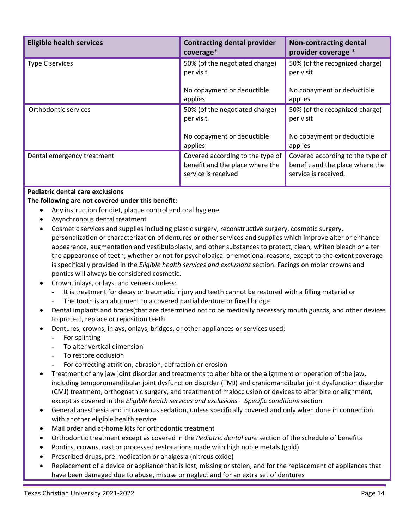| <b>Eligible health services</b> | <b>Contracting dental provider</b><br>coverage*                                            | <b>Non-contracting dental</b><br>provider coverage *                                        |
|---------------------------------|--------------------------------------------------------------------------------------------|---------------------------------------------------------------------------------------------|
| Type C services                 | 50% (of the negotiated charge)<br>per visit                                                | 50% (of the recognized charge)<br>per visit                                                 |
|                                 | No copayment or deductible<br>applies                                                      | No copayment or deductible<br>applies                                                       |
| Orthodontic services            | 50% (of the negotiated charge)<br>per visit                                                | 50% (of the recognized charge)<br>per visit                                                 |
|                                 | No copayment or deductible<br>applies                                                      | No copayment or deductible<br>applies                                                       |
| Dental emergency treatment      | Covered according to the type of<br>benefit and the place where the<br>service is received | Covered according to the type of<br>benefit and the place where the<br>service is received. |

## **Pediatric dental care exclusions**

**The following are not covered under this benefit:**

- Any instruction for diet, plaque control and oral hygiene
- Asynchronous dental treatment
- Cosmetic services and supplies including plastic surgery, reconstructive surgery, cosmetic surgery, personalization or characterization of dentures or other services and supplies which improve alter or enhance appearance, augmentation and vestibuloplasty, and other substances to protect, clean, whiten bleach or alter the appearance of teeth; whether or not for psychological or emotional reasons; except to the extent coverage is specifically provided in the *Eligible health services and exclusions* section. Facings on molar crowns and pontics will always be considered cosmetic.
- Crown, inlays, onlays, and veneers unless:
	- It is treatment for decay or traumatic injury and teeth cannot be restored with a filling material or
	- The tooth is an abutment to a covered partial denture or fixed bridge
- Dental implants and braces(that are determined not to be medically necessary mouth guards, and other devices to protect, replace or reposition teeth
	- Dentures, crowns, inlays, onlays, bridges, or other appliances or services used:
		- For splinting
		- To alter vertical dimension
		- To restore occlusion
		- For correcting attrition, abrasion, abfraction or erosion
- Treatment of any jaw joint disorder and treatments to alter bite or the alignment or operation of the jaw, including temporomandibular joint dysfunction disorder (TMJ) and craniomandibular joint dysfunction disorder (CMJ) treatment, orthognathic surgery, and treatment of malocclusion or devices to alter bite or alignment, except as covered in the *Eligible health services and exclusions – Specific conditions* section
- General anesthesia and intravenous sedation, unless specifically covered and only when done in connection with another eligible health service
- Mail order and at-home kits for orthodontic treatment
- Orthodontic treatment except as covered in the *Pediatric dental care* section of the schedule of benefits
- Pontics, crowns, cast or processed restorations made with high noble metals (gold)
- Prescribed drugs, pre-medication or analgesia (nitrous oxide)
- Replacement of a device or appliance that is lost, missing or stolen, and for the replacement of appliances that have been damaged due to abuse, misuse or neglect and for an extra set of dentures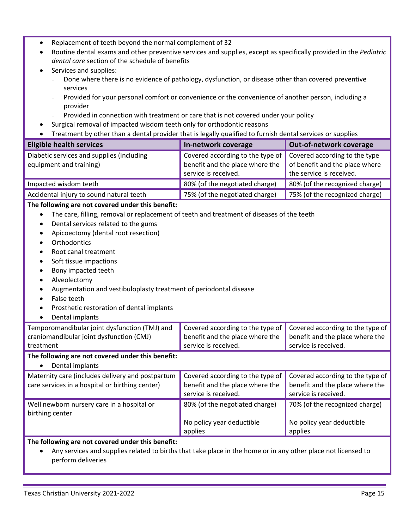- Replacement of teeth beyond the normal complement of 32
- Routine dental exams and other preventive services and supplies, except as specifically provided in the *Pediatric dental care* section of the schedule of benefits
- Services and supplies:
	- Done where there is no evidence of pathology, dysfunction, or disease other than covered preventive services
	- Provided for your personal comfort or convenience or the convenience of another person, including a provider
	- Provided in connection with treatment or care that is not covered under your policy
- Surgical removal of impacted wisdom teeth only for orthodontic reasons
- Treatment by other than a dental provider that is legally qualified to furnish dental services or supplies

| <b>Eligible health services</b>                                                                               | In-network coverage                                     | Out-of-network coverage                                    |
|---------------------------------------------------------------------------------------------------------------|---------------------------------------------------------|------------------------------------------------------------|
| Diabetic services and supplies (including                                                                     | Covered according to the type of                        | Covered according to the type                              |
| equipment and training)                                                                                       | benefit and the place where the<br>service is received. | of benefit and the place where<br>the service is received. |
| Impacted wisdom teeth                                                                                         | 80% (of the negotiated charge)                          | 80% (of the recognized charge)                             |
| Accidental injury to sound natural teeth                                                                      | 75% (of the negotiated charge)                          | 75% (of the recognized charge)                             |
| The following are not covered under this benefit:                                                             |                                                         |                                                            |
| The care, filling, removal or replacement of teeth and treatment of diseases of the teeth<br>$\bullet$        |                                                         |                                                            |
| Dental services related to the gums<br>$\bullet$                                                              |                                                         |                                                            |
| Apicoectomy (dental root resection)<br>$\bullet$                                                              |                                                         |                                                            |
| Orthodontics<br>$\bullet$                                                                                     |                                                         |                                                            |
| Root canal treatment<br>٠                                                                                     |                                                         |                                                            |
| Soft tissue impactions<br>$\bullet$                                                                           |                                                         |                                                            |
| Bony impacted teeth                                                                                           |                                                         |                                                            |
| Alveolectomy                                                                                                  |                                                         |                                                            |
| Augmentation and vestibuloplasty treatment of periodontal disease                                             |                                                         |                                                            |
| False teeth                                                                                                   |                                                         |                                                            |
| Prosthetic restoration of dental implants<br>Dental implants                                                  |                                                         |                                                            |
| Temporomandibular joint dysfunction (TMJ) and                                                                 | Covered according to the type of                        | Covered according to the type of                           |
| craniomandibular joint dysfunction (CMJ)                                                                      | benefit and the place where the                         | benefit and the place where the                            |
| treatment                                                                                                     | service is received.                                    | service is received.                                       |
| The following are not covered under this benefit:<br>Dental implants                                          |                                                         |                                                            |
| Maternity care (includes delivery and postpartum                                                              | Covered according to the type of                        | Covered according to the type of                           |
| care services in a hospital or birthing center)                                                               | benefit and the place where the                         | benefit and the place where the                            |
|                                                                                                               | service is received.                                    | service is received.                                       |
| Well newborn nursery care in a hospital or                                                                    | 80% (of the negotiated charge)                          | 70% (of the recognized charge)                             |
| birthing center                                                                                               |                                                         |                                                            |
|                                                                                                               | No policy year deductible                               | No policy year deductible                                  |
|                                                                                                               | applies                                                 | applies                                                    |
| The following are not covered under this benefit:                                                             |                                                         |                                                            |
| Any services and supplies related to births that take place in the home or in any other place not licensed to |                                                         |                                                            |
| perform deliveries                                                                                            |                                                         |                                                            |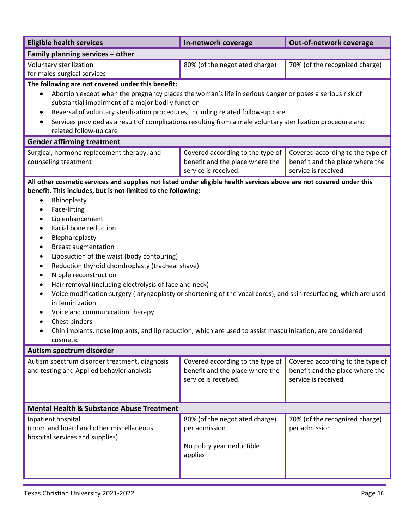| <b>Eligible health services</b>                                                                                                                                                                                                                                                                                                                                                                                                                                                                                                                                                                                                                                                                                                                                                           | In-network coverage                                                                         | Out-of-network coverage                                                                     |
|-------------------------------------------------------------------------------------------------------------------------------------------------------------------------------------------------------------------------------------------------------------------------------------------------------------------------------------------------------------------------------------------------------------------------------------------------------------------------------------------------------------------------------------------------------------------------------------------------------------------------------------------------------------------------------------------------------------------------------------------------------------------------------------------|---------------------------------------------------------------------------------------------|---------------------------------------------------------------------------------------------|
| Family planning services - other                                                                                                                                                                                                                                                                                                                                                                                                                                                                                                                                                                                                                                                                                                                                                          |                                                                                             |                                                                                             |
| Voluntary sterilization<br>for males-surgical services                                                                                                                                                                                                                                                                                                                                                                                                                                                                                                                                                                                                                                                                                                                                    | 80% (of the negotiated charge)                                                              | 70% (of the recognized charge)                                                              |
| The following are not covered under this benefit:<br>Abortion except when the pregnancy places the woman's life in serious danger or poses a serious risk of<br>$\bullet$<br>substantial impairment of a major bodily function<br>Reversal of voluntary sterilization procedures, including related follow-up care<br>$\bullet$<br>Services provided as a result of complications resulting from a male voluntary sterilization procedure and<br>٠<br>related follow-up care                                                                                                                                                                                                                                                                                                              |                                                                                             |                                                                                             |
| <b>Gender affirming treatment</b>                                                                                                                                                                                                                                                                                                                                                                                                                                                                                                                                                                                                                                                                                                                                                         |                                                                                             |                                                                                             |
| Surgical, hormone replacement therapy, and<br>counseling treatment                                                                                                                                                                                                                                                                                                                                                                                                                                                                                                                                                                                                                                                                                                                        | Covered according to the type of<br>benefit and the place where the<br>service is received. | Covered according to the type of<br>benefit and the place where the<br>service is received. |
| benefit. This includes, but is not limited to the following:<br>Rhinoplasty<br>$\bullet$<br>Face-lifting<br>٠<br>Lip enhancement<br>٠<br>Facial bone reduction<br>$\bullet$<br>Blepharoplasty<br><b>Breast augmentation</b><br>$\bullet$<br>Liposuction of the waist (body contouring)<br>$\bullet$<br>Reduction thyroid chondroplasty (tracheal shave)<br>Nipple reconstruction<br>$\bullet$<br>Hair removal (including electrolysis of face and neck)<br>$\bullet$<br>Voice modification surgery (laryngoplasty or shortening of the vocal cords), and skin resurfacing, which are used<br>in feminization<br>Voice and communication therapy<br>Chest binders<br>Chin implants, nose implants, and lip reduction, which are used to assist masculinization, are considered<br>cosmetic |                                                                                             |                                                                                             |
| Autism spectrum disorder                                                                                                                                                                                                                                                                                                                                                                                                                                                                                                                                                                                                                                                                                                                                                                  |                                                                                             |                                                                                             |
| Autism spectrum disorder treatment, diagnosis<br>and testing and Applied behavior analysis                                                                                                                                                                                                                                                                                                                                                                                                                                                                                                                                                                                                                                                                                                | Covered according to the type of<br>benefit and the place where the<br>service is received. | Covered according to the type of<br>benefit and the place where the<br>service is received. |
| <b>Mental Health &amp; Substance Abuse Treatment</b>                                                                                                                                                                                                                                                                                                                                                                                                                                                                                                                                                                                                                                                                                                                                      |                                                                                             |                                                                                             |
| Inpatient hospital<br>(room and board and other miscellaneous<br>hospital services and supplies)                                                                                                                                                                                                                                                                                                                                                                                                                                                                                                                                                                                                                                                                                          | 80% (of the negotiated charge)<br>per admission<br>No policy year deductible<br>applies     | 70% (of the recognized charge)<br>per admission                                             |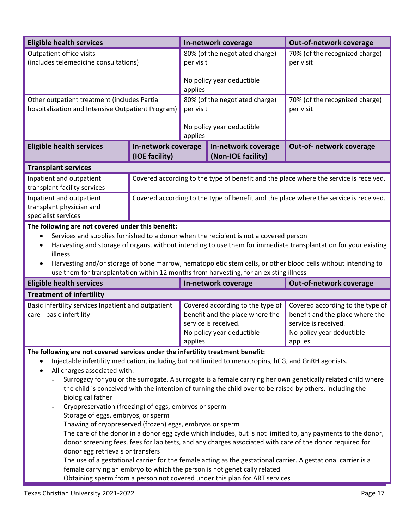| <b>Eligible health services</b>                                                                                                                                                                         |                                       |                                             | In-network coverage                                                                                                      | Out-of-network coverage                                                                                                             |
|---------------------------------------------------------------------------------------------------------------------------------------------------------------------------------------------------------|---------------------------------------|---------------------------------------------|--------------------------------------------------------------------------------------------------------------------------|-------------------------------------------------------------------------------------------------------------------------------------|
| Outpatient office visits<br>(includes telemedicine consultations)                                                                                                                                       |                                       | 80% (of the negotiated charge)<br>per visit |                                                                                                                          | 70% (of the recognized charge)<br>per visit                                                                                         |
|                                                                                                                                                                                                         |                                       | applies                                     | No policy year deductible                                                                                                |                                                                                                                                     |
| Other outpatient treatment (includes Partial<br>hospitalization and Intensive Outpatient Program)                                                                                                       |                                       | 80% (of the negotiated charge)<br>per visit |                                                                                                                          | 70% (of the recognized charge)<br>per visit                                                                                         |
|                                                                                                                                                                                                         |                                       | No policy year deductible<br>applies        |                                                                                                                          |                                                                                                                                     |
| <b>Eligible health services</b>                                                                                                                                                                         | In-network coverage<br>(IOE facility) |                                             | In-network coverage<br>(Non-IOE facility)                                                                                | Out-of- network coverage                                                                                                            |
| <b>Transplant services</b>                                                                                                                                                                              |                                       |                                             |                                                                                                                          |                                                                                                                                     |
| Inpatient and outpatient<br>transplant facility services                                                                                                                                                |                                       |                                             |                                                                                                                          | Covered according to the type of benefit and the place where the service is received.                                               |
| Inpatient and outpatient<br>transplant physician and<br>specialist services                                                                                                                             |                                       |                                             |                                                                                                                          | Covered according to the type of benefit and the place where the service is received.                                               |
| The following are not covered under this benefit:                                                                                                                                                       |                                       |                                             |                                                                                                                          |                                                                                                                                     |
| $\bullet$                                                                                                                                                                                               |                                       |                                             | Services and supplies furnished to a donor when the recipient is not a covered person                                    |                                                                                                                                     |
| ٠<br>illness                                                                                                                                                                                            |                                       |                                             |                                                                                                                          | Harvesting and storage of organs, without intending to use them for immediate transplantation for your existing                     |
| Harvesting and/or storage of bone marrow, hematopoietic stem cells, or other blood cells without intending to<br>use them for transplantation within 12 months from harvesting, for an existing illness |                                       |                                             |                                                                                                                          |                                                                                                                                     |
| <b>Eligible health services</b>                                                                                                                                                                         |                                       |                                             | In-network coverage                                                                                                      | Out-of-network coverage                                                                                                             |
|                                                                                                                                                                                                         |                                       |                                             |                                                                                                                          |                                                                                                                                     |
| <b>Treatment of infertility</b>                                                                                                                                                                         |                                       |                                             |                                                                                                                          |                                                                                                                                     |
| Basic infertility services Inpatient and outpatient<br>care - basic infertility                                                                                                                         |                                       | applies                                     | Covered according to the type of<br>benefit and the place where the<br>service is received.<br>No policy year deductible | Covered according to the type of<br>benefit and the place where the<br>service is received.<br>No policy year deductible<br>applies |
|                                                                                                                                                                                                         |                                       |                                             |                                                                                                                          |                                                                                                                                     |
| The following are not covered services under the infertility treatment benefit:<br>$\bullet$                                                                                                            |                                       |                                             |                                                                                                                          |                                                                                                                                     |
| ٠                                                                                                                                                                                                       |                                       |                                             | Injectable infertility medication, including but not limited to menotropins, hCG, and GnRH agonists.                     |                                                                                                                                     |
| All charges associated with:                                                                                                                                                                            |                                       |                                             |                                                                                                                          |                                                                                                                                     |
|                                                                                                                                                                                                         |                                       |                                             |                                                                                                                          | Surrogacy for you or the surrogate. A surrogate is a female carrying her own genetically related child where                        |
| biological father                                                                                                                                                                                       |                                       |                                             |                                                                                                                          | the child is conceived with the intention of turning the child over to be raised by others, including the                           |
|                                                                                                                                                                                                         |                                       |                                             |                                                                                                                          |                                                                                                                                     |
| Cryopreservation (freezing) of eggs, embryos or sperm<br>Storage of eggs, embryos, or sperm<br>$\overline{\phantom{a}}$                                                                                 |                                       |                                             |                                                                                                                          |                                                                                                                                     |
| Thawing of cryopreserved (frozen) eggs, embryos or sperm                                                                                                                                                |                                       |                                             |                                                                                                                          |                                                                                                                                     |
| $\overline{\phantom{a}}$                                                                                                                                                                                |                                       |                                             |                                                                                                                          | The care of the donor in a donor egg cycle which includes, but is not limited to, any payments to the donor,                        |
|                                                                                                                                                                                                         |                                       |                                             |                                                                                                                          | donor screening fees, fees for lab tests, and any charges associated with care of the donor required for                            |
| donor egg retrievals or transfers                                                                                                                                                                       |                                       |                                             |                                                                                                                          |                                                                                                                                     |
|                                                                                                                                                                                                         |                                       |                                             | female carrying an embryo to which the person is not genetically related                                                 | The use of a gestational carrier for the female acting as the gestational carrier. A gestational carrier is a                       |

Obtaining sperm from a person not covered under this plan for ART services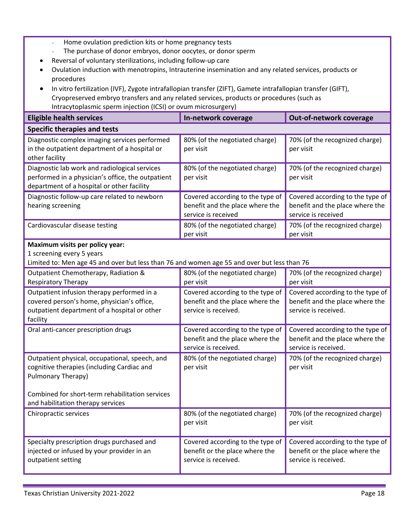- Home ovulation prediction kits or home pregnancy tests
- The purchase of donor embryos, donor oocytes, or donor sperm
- Reversal of voluntary sterilizations, including follow-up care
- Ovulation induction with menotropins, Intrauterine insemination and any related services, products or procedures
- In vitro fertilization (IVF), Zygote intrafallopian transfer (ZIFT), Gamete intrafallopian transfer (GIFT), Cryopreserved embryo transfers and any related services, products or procedures (such as Intracytoplasmic sperm injection (ICSI) or ovum microsurgery)

| <b>Eligible health services</b>                                                                                                                             | In-network coverage                                                                         | Out-of-network coverage                                                                     |
|-------------------------------------------------------------------------------------------------------------------------------------------------------------|---------------------------------------------------------------------------------------------|---------------------------------------------------------------------------------------------|
| <b>Specific therapies and tests</b>                                                                                                                         |                                                                                             |                                                                                             |
| Diagnostic complex imaging services performed<br>in the outpatient department of a hospital or<br>other facility                                            | 80% (of the negotiated charge)<br>per visit                                                 | 70% (of the recognized charge)<br>per visit                                                 |
| Diagnostic lab work and radiological services<br>performed in a physician's office, the outpatient<br>department of a hospital or other facility            | 80% (of the negotiated charge)<br>per visit                                                 | 70% (of the recognized charge)<br>per visit                                                 |
| Diagnostic follow-up care related to newborn<br>hearing screening                                                                                           | Covered according to the type of<br>benefit and the place where the<br>service is received  | Covered according to the type of<br>benefit and the place where the<br>service is received  |
| Cardiovascular disease testing                                                                                                                              | 80% (of the negotiated charge)<br>per visit                                                 | 70% (of the recognized charge)<br>per visit                                                 |
| Maximum visits per policy year:<br>1 screening every 5 years<br>Limited to: Men age 45 and over but less than 76 and women age 55 and over but less than 76 |                                                                                             |                                                                                             |
| Outpatient Chemotherapy, Radiation &<br><b>Respiratory Therapy</b>                                                                                          | 80% (of the negotiated charge)<br>per visit                                                 | 70% (of the recognized charge)<br>per visit                                                 |
| Outpatient infusion therapy performed in a<br>covered person's home, physician's office,<br>outpatient department of a hospital or other<br>facility        | Covered according to the type of<br>benefit and the place where the<br>service is received. | Covered according to the type of<br>benefit and the place where the<br>service is received. |
| Oral anti-cancer prescription drugs                                                                                                                         | Covered according to the type of<br>benefit and the place where the<br>service is received. | Covered according to the type of<br>benefit and the place where the<br>service is received. |
| Outpatient physical, occupational, speech, and<br>cognitive therapies (including Cardiac and<br>Pulmonary Therapy)                                          | 80% (of the negotiated charge)<br>per visit                                                 | 70% (of the recognized charge)<br>per visit                                                 |
| Combined for short-term rehabilitation services<br>and habilitation therapy services                                                                        |                                                                                             |                                                                                             |
| Chiropractic services                                                                                                                                       | 80% (of the negotiated charge)<br>per visit                                                 | 70% (of the recognized charge)<br>per visit                                                 |
| Specialty prescription drugs purchased and<br>injected or infused by your provider in an<br>outpatient setting                                              | Covered according to the type of<br>benefit or the place where the<br>service is received.  | Covered according to the type of<br>benefit or the place where the<br>service is received.  |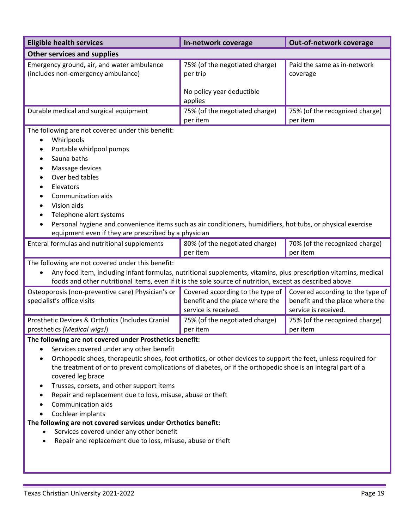| <b>Eligible health services</b>                                                                                                                                                                                                                                                                                                                                                                                                                                                                                                                                                                                                                                                                                                                                 | In-network coverage                                                                         | Out-of-network coverage                                                                     |
|-----------------------------------------------------------------------------------------------------------------------------------------------------------------------------------------------------------------------------------------------------------------------------------------------------------------------------------------------------------------------------------------------------------------------------------------------------------------------------------------------------------------------------------------------------------------------------------------------------------------------------------------------------------------------------------------------------------------------------------------------------------------|---------------------------------------------------------------------------------------------|---------------------------------------------------------------------------------------------|
| <b>Other services and supplies</b>                                                                                                                                                                                                                                                                                                                                                                                                                                                                                                                                                                                                                                                                                                                              |                                                                                             |                                                                                             |
| Emergency ground, air, and water ambulance<br>(includes non-emergency ambulance)                                                                                                                                                                                                                                                                                                                                                                                                                                                                                                                                                                                                                                                                                | 75% (of the negotiated charge)<br>per trip                                                  | Paid the same as in-network<br>coverage                                                     |
|                                                                                                                                                                                                                                                                                                                                                                                                                                                                                                                                                                                                                                                                                                                                                                 | No policy year deductible<br>applies                                                        |                                                                                             |
| Durable medical and surgical equipment                                                                                                                                                                                                                                                                                                                                                                                                                                                                                                                                                                                                                                                                                                                          | 75% (of the negotiated charge)<br>per item                                                  | 75% (of the recognized charge)<br>per item                                                  |
| The following are not covered under this benefit:<br>Whirlpools<br>$\bullet$<br>Portable whirlpool pumps<br>٠<br>Sauna baths<br>$\bullet$<br>Massage devices<br>Over bed tables<br>$\bullet$<br>Elevators<br>٠<br>Communication aids<br>Vision aids<br>$\bullet$<br>Telephone alert systems<br>$\bullet$<br>Personal hygiene and convenience items such as air conditioners, humidifiers, hot tubs, or physical exercise<br>equipment even if they are prescribed by a physician                                                                                                                                                                                                                                                                                |                                                                                             |                                                                                             |
| Enteral formulas and nutritional supplements                                                                                                                                                                                                                                                                                                                                                                                                                                                                                                                                                                                                                                                                                                                    | 80% (of the negotiated charge)<br>per item                                                  | 70% (of the recognized charge)<br>per item                                                  |
| The following are not covered under this benefit:<br>Any food item, including infant formulas, nutritional supplements, vitamins, plus prescription vitamins, medical<br>$\bullet$<br>foods and other nutritional items, even if it is the sole source of nutrition, except as described above                                                                                                                                                                                                                                                                                                                                                                                                                                                                  |                                                                                             |                                                                                             |
| Osteoporosis (non-preventive care) Physician's or<br>specialist's office visits                                                                                                                                                                                                                                                                                                                                                                                                                                                                                                                                                                                                                                                                                 | Covered according to the type of<br>benefit and the place where the<br>service is received. | Covered according to the type of<br>benefit and the place where the<br>service is received. |
| Prosthetic Devices & Orthotics (Includes Cranial<br>prosthetics (Medical wigs))                                                                                                                                                                                                                                                                                                                                                                                                                                                                                                                                                                                                                                                                                 | 75% (of the negotiated charge)<br>per item                                                  | 75% (of the recognized charge)<br>per item                                                  |
| The following are not covered under Prosthetics benefit:<br>Services covered under any other benefit<br>$\bullet$<br>Orthopedic shoes, therapeutic shoes, foot orthotics, or other devices to support the feet, unless required for<br>$\bullet$<br>the treatment of or to prevent complications of diabetes, or if the orthopedic shoe is an integral part of a<br>covered leg brace<br>Trusses, corsets, and other support items<br>$\bullet$<br>Repair and replacement due to loss, misuse, abuse or theft<br>$\bullet$<br>Communication aids<br>Cochlear implants<br>$\bullet$<br>The following are not covered services under Orthotics benefit:<br>Services covered under any other benefit<br>Repair and replacement due to loss, misuse, abuse or theft |                                                                                             |                                                                                             |

÷,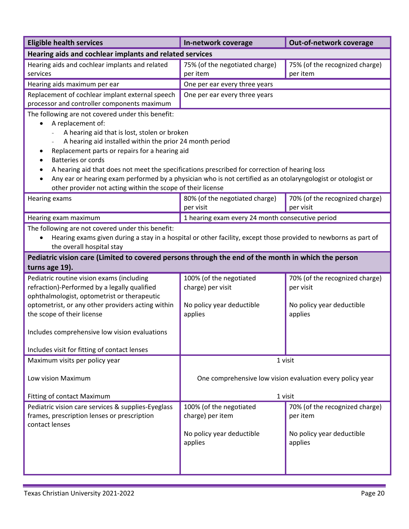| <b>Eligible health services</b>                                                                                                                                                                                                                                                                                                                                                                                                                                                                                                                             | In-network coverage                                                                  | Out-of-network coverage                                                             |
|-------------------------------------------------------------------------------------------------------------------------------------------------------------------------------------------------------------------------------------------------------------------------------------------------------------------------------------------------------------------------------------------------------------------------------------------------------------------------------------------------------------------------------------------------------------|--------------------------------------------------------------------------------------|-------------------------------------------------------------------------------------|
| Hearing aids and cochlear implants and related services                                                                                                                                                                                                                                                                                                                                                                                                                                                                                                     |                                                                                      |                                                                                     |
| Hearing aids and cochlear implants and related<br>services                                                                                                                                                                                                                                                                                                                                                                                                                                                                                                  | 75% (of the negotiated charge)<br>per item                                           | 75% (of the recognized charge)<br>per item                                          |
| Hearing aids maximum per ear                                                                                                                                                                                                                                                                                                                                                                                                                                                                                                                                | One per ear every three years                                                        |                                                                                     |
| Replacement of cochlear implant external speech<br>processor and controller components maximum                                                                                                                                                                                                                                                                                                                                                                                                                                                              | One per ear every three years                                                        |                                                                                     |
| The following are not covered under this benefit:<br>A replacement of:<br>٠<br>A hearing aid that is lost, stolen or broken<br>A hearing aid installed within the prior 24 month period<br>Replacement parts or repairs for a hearing aid<br>٠<br><b>Batteries or cords</b><br>A hearing aid that does not meet the specifications prescribed for correction of hearing loss<br>Any ear or hearing exam performed by a physician who is not certified as an otolaryngologist or otologist or<br>other provider not acting within the scope of their license |                                                                                      |                                                                                     |
| Hearing exams                                                                                                                                                                                                                                                                                                                                                                                                                                                                                                                                               | 80% (of the negotiated charge)<br>per visit                                          | 70% (of the recognized charge)<br>per visit                                         |
| Hearing exam maximum                                                                                                                                                                                                                                                                                                                                                                                                                                                                                                                                        | 1 hearing exam every 24 month consecutive period                                     |                                                                                     |
| The following are not covered under this benefit:<br>Hearing exams given during a stay in a hospital or other facility, except those provided to newborns as part of<br>the overall hospital stay                                                                                                                                                                                                                                                                                                                                                           |                                                                                      |                                                                                     |
| Pediatric vision care (Limited to covered persons through the end of the month in which the person<br>turns age 19).                                                                                                                                                                                                                                                                                                                                                                                                                                        |                                                                                      |                                                                                     |
| Pediatric routine vision exams (including<br>refraction)-Performed by a legally qualified<br>ophthalmologist, optometrist or therapeutic<br>optometrist, or any other providers acting within<br>the scope of their license<br>Includes comprehensive low vision evaluations                                                                                                                                                                                                                                                                                | 100% (of the negotiated<br>charge) per visit<br>No policy year deductible<br>applies | 70% (of the recognized charge)<br>per visit<br>No policy year deductible<br>applies |
| Includes visit for fitting of contact lenses                                                                                                                                                                                                                                                                                                                                                                                                                                                                                                                |                                                                                      |                                                                                     |
| Maximum visits per policy year<br>Low vision Maximum<br>Fitting of contact Maximum                                                                                                                                                                                                                                                                                                                                                                                                                                                                          | 1 visit<br>One comprehensive low vision evaluation every policy year<br>1 visit      |                                                                                     |
| Pediatric vision care services & supplies-Eyeglass                                                                                                                                                                                                                                                                                                                                                                                                                                                                                                          | 100% (of the negotiated                                                              | 70% (of the recognized charge)                                                      |
| frames, prescription lenses or prescription<br>contact lenses                                                                                                                                                                                                                                                                                                                                                                                                                                                                                               | charge) per item<br>No policy year deductible<br>applies                             | per item<br>No policy year deductible<br>applies                                    |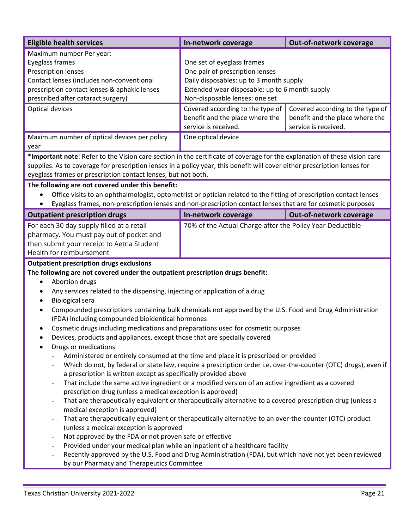| <b>Eligible health services</b>                                                                                                                                                                                                                                                                                                                                                                                                                                                                                                                                                                                                                                                                                                                                                                                                                                                                                                                                                                                                                                                                                                                                                                                                                                                                                                                                                                                                                                                                                                                                                                                                                                                                                                                                    | In-network coverage                                                                                                                                                                                                                                                                         | Out-of-network coverage                                                                     |
|--------------------------------------------------------------------------------------------------------------------------------------------------------------------------------------------------------------------------------------------------------------------------------------------------------------------------------------------------------------------------------------------------------------------------------------------------------------------------------------------------------------------------------------------------------------------------------------------------------------------------------------------------------------------------------------------------------------------------------------------------------------------------------------------------------------------------------------------------------------------------------------------------------------------------------------------------------------------------------------------------------------------------------------------------------------------------------------------------------------------------------------------------------------------------------------------------------------------------------------------------------------------------------------------------------------------------------------------------------------------------------------------------------------------------------------------------------------------------------------------------------------------------------------------------------------------------------------------------------------------------------------------------------------------------------------------------------------------------------------------------------------------|---------------------------------------------------------------------------------------------------------------------------------------------------------------------------------------------------------------------------------------------------------------------------------------------|---------------------------------------------------------------------------------------------|
| Maximum number Per year:<br>Eyeglass frames<br><b>Prescription lenses</b><br>Contact lenses (includes non-conventional<br>prescription contact lenses & aphakic lenses<br>prescribed after cataract surgery)<br>Optical devices                                                                                                                                                                                                                                                                                                                                                                                                                                                                                                                                                                                                                                                                                                                                                                                                                                                                                                                                                                                                                                                                                                                                                                                                                                                                                                                                                                                                                                                                                                                                    | One set of eyeglass frames<br>One pair of prescription lenses<br>Daily disposables: up to 3 month supply<br>Extended wear disposable: up to 6 month supply<br>Non-disposable lenses: one set<br>Covered according to the type of<br>benefit and the place where the<br>service is received. | Covered according to the type of<br>benefit and the place where the<br>service is received. |
| Maximum number of optical devices per policy<br>year                                                                                                                                                                                                                                                                                                                                                                                                                                                                                                                                                                                                                                                                                                                                                                                                                                                                                                                                                                                                                                                                                                                                                                                                                                                                                                                                                                                                                                                                                                                                                                                                                                                                                                               | One optical device                                                                                                                                                                                                                                                                          |                                                                                             |
| *Important note: Refer to the Vision care section in the certificate of coverage for the explanation of these vision care<br>supplies. As to coverage for prescription lenses in a policy year, this benefit will cover either prescription lenses for<br>eyeglass frames or prescription contact lenses, but not both.<br>The following are not covered under this benefit:<br>Office visits to an ophthalmologist, optometrist or optician related to the fitting of prescription contact lenses                                                                                                                                                                                                                                                                                                                                                                                                                                                                                                                                                                                                                                                                                                                                                                                                                                                                                                                                                                                                                                                                                                                                                                                                                                                                 |                                                                                                                                                                                                                                                                                             |                                                                                             |
| Eyeglass frames, non-prescription lenses and non-prescription contact lenses that are for cosmetic purposes                                                                                                                                                                                                                                                                                                                                                                                                                                                                                                                                                                                                                                                                                                                                                                                                                                                                                                                                                                                                                                                                                                                                                                                                                                                                                                                                                                                                                                                                                                                                                                                                                                                        |                                                                                                                                                                                                                                                                                             |                                                                                             |
| <b>Outpatient prescription drugs</b>                                                                                                                                                                                                                                                                                                                                                                                                                                                                                                                                                                                                                                                                                                                                                                                                                                                                                                                                                                                                                                                                                                                                                                                                                                                                                                                                                                                                                                                                                                                                                                                                                                                                                                                               | In-network coverage                                                                                                                                                                                                                                                                         | Out-of-network coverage                                                                     |
| For each 30 day supply filled at a retail<br>pharmacy. You must pay out of pocket and<br>then submit your receipt to Aetna Student<br>Health for reimbursement                                                                                                                                                                                                                                                                                                                                                                                                                                                                                                                                                                                                                                                                                                                                                                                                                                                                                                                                                                                                                                                                                                                                                                                                                                                                                                                                                                                                                                                                                                                                                                                                     | 70% of the Actual Charge after the Policy Year Deductible                                                                                                                                                                                                                                   |                                                                                             |
| <b>Outpatient prescription drugs exclusions</b><br>The following are not covered under the outpatient prescription drugs benefit:<br>Abortion drugs<br>$\bullet$<br>Any services related to the dispensing, injecting or application of a drug<br><b>Biological sera</b><br>Compounded prescriptions containing bulk chemicals not approved by the U.S. Food and Drug Administration<br>(FDA) including compounded bioidentical hormones<br>Cosmetic drugs including medications and preparations used for cosmetic purposes<br>Devices, products and appliances, except those that are specially covered<br>$\bullet$<br>Drugs or medications<br>Administered or entirely consumed at the time and place it is prescribed or provided<br>Which do not, by federal or state law, require a prescription order i.e. over-the-counter (OTC) drugs), even if<br>a prescription is written except as specifically provided above<br>That include the same active ingredient or a modified version of an active ingredient as a covered<br>prescription drug (unless a medical exception is approved)<br>That are therapeutically equivalent or therapeutically alternative to a covered prescription drug (unless a<br>medical exception is approved)<br>That are therapeutically equivalent or therapeutically alternative to an over-the-counter (OTC) product<br>$\overline{\phantom{a}}$<br>(unless a medical exception is approved<br>Not approved by the FDA or not proven safe or effective<br>Provided under your medical plan while an inpatient of a healthcare facility<br>Recently approved by the U.S. Food and Drug Administration (FDA), but which have not yet been reviewed<br>$\overline{\phantom{a}}$<br>by our Pharmacy and Therapeutics Committee |                                                                                                                                                                                                                                                                                             |                                                                                             |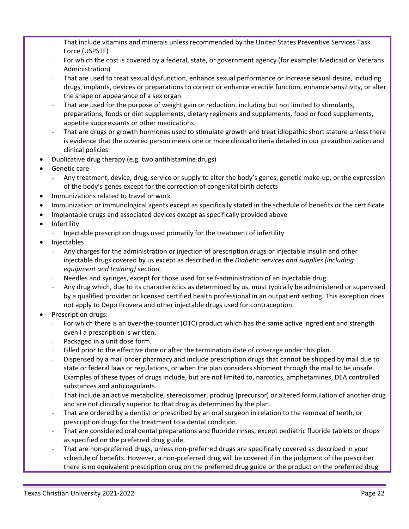- That include vitamins and minerals unless recommended by the United States Preventive Services Task Force (USPSTF)
- For which the cost is covered by a federal, state, or government agency (for example: Medicaid or Veterans Administration)
- That are used to treat sexual dysfunction, enhance sexual performance or increase sexual desire, including drugs, implants, devices or preparations to correct or enhance erectile function, enhance sensitivity, or alter the shape or appearance of a sex organ
- That are used for the purpose of weight gain or reduction, including but not limited to stimulants, preparations, foods or diet supplements, dietary regimens and supplements, food or food supplements, appetite suppressants or other medications
- That are drugs or growth hormones used to stimulate growth and treat idiopathic short stature unless there is evidence that the covered person meets one or more clinical criteria detailed in our preauthorization and clinical policies
- Duplicative drug therapy (e.g. two antihistamine drugs)
- Genetic care
	- Any treatment, device, drug, service or supply to alter the body's genes, genetic make-up, or the expression of the body's genes except for the correction of congenital birth defects
- Immunizations related to travel or work
- Immunization or immunological agents except as specifically stated in the schedule of benefits or the certificate
- Implantable drugs and associated devices except as specifically provided above
- **Infertility** 
	- Injectable prescription drugs used primarily for the treatment of infertility
- Injectables
	- Any charges for the administration or injection of prescription drugs or injectable insulin and other injectable drugs covered by us except as described in the *Diabetic services and supplies (including equipment and training)* section.
	- Needles and syringes, except for those used for self-administration of an injectable drug.
	- Any drug which, due to its characteristics as determined by us, must typically be administered or supervised by a qualified provider or licensed certified health professional in an outpatient setting. This exception does not apply to Depo Provera and other injectable drugs used for contraception.
- Prescription drugs:
	- For which there is an over-the-counter (OTC) product which has the same active ingredient and strength even I a prescription is written.
	- Packaged in a unit dose form.
	- Filled prior to the effective date or after the termination date of coverage under this plan.
	- Dispensed by a mail order pharmacy and include prescription drugs that cannot be shipped by mail due to state or federal laws or regulations, or when the plan considers shipment through the mail to be unsafe. Examples of these types of drugs include, but are not limited to, narcotics, amphetamines, DEA controlled substances and anticoagulants.
	- That include an active metabolite, stereoisomer, prodrug (precursor) or altered formulation of another drug and are not clinically superior to that drug as determined by the plan.
	- That are ordered by a dentist or prescribed by an oral surgeon in relation to the removal of teeth, or prescription drugs for the treatment to a dental condition.
	- That are considered oral dental preparations and fluoride rinses, except pediatric fluoride tablets or drops as specified on the preferred drug guide.
	- That are non-preferred drugs, unless non-preferred drugs are specifically covered as described in your schedule of benefits. However, a non-preferred drug will be covered if in the judgment of the prescriber there is no equivalent prescription drug on the preferred drug guide or the product on the preferred drug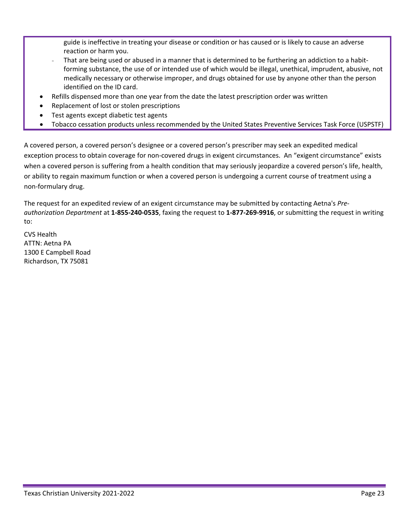guide is ineffective in treating your disease or condition or has caused or is likely to cause an adverse reaction or harm you.

- That are being used or abused in a manner that is determined to be furthering an addiction to a habitforming substance, the use of or intended use of which would be illegal, unethical, imprudent, abusive, not medically necessary or otherwise improper, and drugs obtained for use by anyone other than the person identified on the ID card.
- Refills dispensed more than one year from the date the latest prescription order was written
- Replacement of lost or stolen prescriptions
- Test agents except diabetic test agents
- Tobacco cessation products unless recommended by the United States Preventive Services Task Force (USPSTF)

A covered person, a covered person's designee or a covered person's prescriber may seek an expedited medical exception process to obtain coverage for non-covered drugs in exigent circumstances. An "exigent circumstance" exists when a covered person is suffering from a health condition that may seriously jeopardize a covered person's life, health, or ability to regain maximum function or when a covered person is undergoing a current course of treatment using a non-formulary drug.

The request for an expedited review of an exigent circumstance may be submitted by contacting Aetna's *Preauthorization Department* at **1-855***-***240-0535**, faxing the request to **1-877-269-9916**, or submitting the request in writing to:

CVS Health ATTN: Aetna PA 1300 E Campbell Road Richardson, TX 75081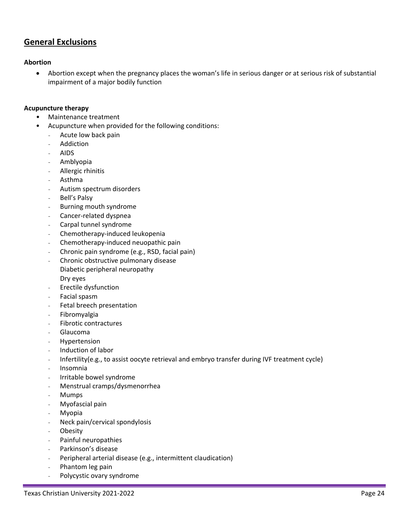# **General Exclusions**

### **Abortion**

• Abortion except when the pregnancy places the woman's life in serious danger or at serious risk of substantial impairment of a major bodily function

#### **Acupuncture therapy**

- Maintenance treatment
- Acupuncture when provided for the following conditions:
	- Acute low back pain
	- **Addiction**
	- AIDS
	- Amblyopia
	- Allergic rhinitis
	- Asthma
	- Autism spectrum disorders
	- Bell's Palsy
	- Burning mouth syndrome
	- Cancer-related dyspnea
	- Carpal tunnel syndrome
	- Chemotherapy-induced leukopenia
	- Chemotherapy-induced neuopathic pain
	- Chronic pain syndrome (e.g., RSD, facial pain)
	- Chronic obstructive pulmonary disease
	- Diabetic peripheral neuropathy Dry eyes
	- Erectile dysfunction
	- Facial spasm
	- Fetal breech presentation
	- Fibromyalgia
	- Fibrotic contractures
	- Glaucoma
	- **Hypertension**
	- Induction of labor
	- Infertility(e.g., to assist oocyte retrieval and embryo transfer during IVF treatment cycle)
	- Insomnia
	- Irritable bowel syndrome
	- Menstrual cramps/dysmenorrhea
	- **Mumps**
	- Myofascial pain
	- **Myopia**
	- Neck pain/cervical spondylosis
	- Obesity
	- Painful neuropathies
	- Parkinson's disease
	- Peripheral arterial disease (e.g., intermittent claudication)
	- Phantom leg pain
	- Polycystic ovary syndrome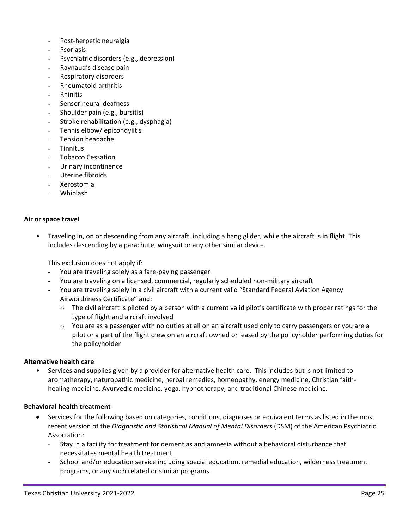- Post-herpetic neuralgia
- **Psoriasis**
- Psychiatric disorders (e.g., depression)
- Raynaud's disease pain
- Respiratory disorders
- Rheumatoid arthritis
- **Rhinitis**
- Sensorineural deafness
- Shoulder pain (e.g., bursitis)
- Stroke rehabilitation (e.g., dysphagia)
- Tennis elbow/ epicondylitis
- Tension headache
- Tinnitus
- Tobacco Cessation
- Urinary incontinence
- Uterine fibroids
- Xerostomia
- Whiplash

#### **Air or space travel**

• Traveling in, on or descending from any aircraft, including a hang glider, while the aircraft is in flight. This includes descending by a parachute, wingsuit or any other similar device.

This exclusion does not apply if:

- You are traveling solely as a fare-paying passenger
- You are traveling on a licensed, commercial, regularly scheduled non-military aircraft
- You are traveling solely in a civil aircraft with a current valid "Standard Federal Aviation Agency Airworthiness Certificate" and:
	- $\circ$  The civil aircraft is piloted by a person with a current valid pilot's certificate with proper ratings for the type of flight and aircraft involved
	- $\circ$  You are as a passenger with no duties at all on an aircraft used only to carry passengers or you are a pilot or a part of the flight crew on an aircraft owned or leased by the policyholder performing duties for the policyholder

#### **Alternative health care**

• Services and supplies given by a provider for alternative health care. This includes but is not limited to aromatherapy, naturopathic medicine, herbal remedies, homeopathy, energy medicine, Christian faithhealing medicine, Ayurvedic medicine, yoga, hypnotherapy, and traditional Chinese medicine.

#### **Behavioral health treatment**

- Services for the following based on categories, conditions, diagnoses or equivalent terms as listed in the most recent version of the *Diagnostic and Statistical Manual of Mental Disorders* (DSM) of the American Psychiatric Association:
	- Stay in a facility for treatment for dementias and amnesia without a behavioral disturbance that necessitates mental health treatment
	- School and/or education service including special education, remedial education, wilderness treatment programs, or any such related or similar programs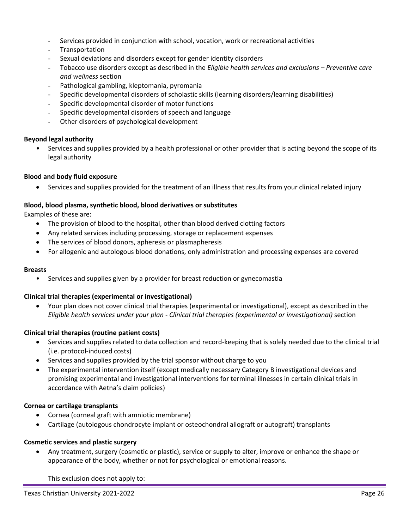- Services provided in conjunction with school, vocation, work or recreational activities
- **Transportation**
- Sexual deviations and disorders except for gender identity disorders
- Tobacco use disorders except as described in the *Eligible health services and exclusions – Preventive care and wellness* section
- Pathological gambling, kleptomania, pyromania
- Specific developmental disorders of scholastic skills (learning disorders/learning disabilities)
- Specific developmental disorder of motor functions
- Specific developmental disorders of speech and language
- Other disorders of psychological development

#### **Beyond legal authority**

• Services and supplies provided by a health professional or other provider that is acting beyond the scope of its legal authority

#### **Blood and body fluid exposure**

• Services and supplies provided for the treatment of an illness that results from your clinical related injury

#### **Blood, blood plasma, synthetic blood, blood derivatives or substitutes**

Examples of these are:

- The provision of blood to the hospital, other than blood derived clotting factors
- Any related services including processing, storage or replacement expenses
- The services of blood donors, apheresis or plasmapheresis
- For allogenic and autologous blood donations, only administration and processing expenses are covered

#### **Breasts**

• Services and supplies given by a provider for breast reduction or gynecomastia

#### **Clinical trial therapies (experimental or investigational)**

• Your plan does not cover clinical trial therapies (experimental or investigational), except as described in the *Eligible health services under your plan - Clinical trial therapies (experimental or investigational)* section

#### **Clinical trial therapies (routine patient costs)**

- Services and supplies related to data collection and record-keeping that is solely needed due to the clinical trial (i.e. protocol-induced costs)
- Services and supplies provided by the trial sponsor without charge to you
- The experimental intervention itself (except medically necessary Category B investigational devices and promising experimental and investigational interventions for terminal illnesses in certain clinical trials in accordance with Aetna's claim policies)

#### **Cornea or cartilage transplants**

- Cornea (corneal graft with amniotic membrane)
- Cartilage (autologous chondrocyte implant or osteochondral allograft or autograft) transplants

#### **Cosmetic services and plastic surgery**

• Any treatment, surgery (cosmetic or plastic), service or supply to alter, improve or enhance the shape or appearance of the body, whether or not for psychological or emotional reasons.

This exclusion does not apply to: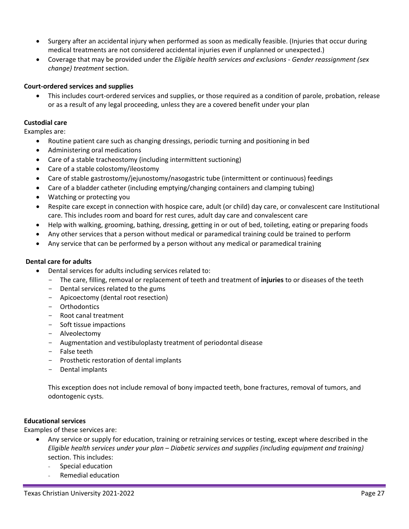- Surgery after an accidental injury when performed as soon as medically feasible. (Injuries that occur during medical treatments are not considered accidental injuries even if unplanned or unexpected.)
- Coverage that may be provided under the *Eligible health services and exclusions - Gender reassignment (sex change) treatment* section.

# **Court-ordered services and supplies**

• This includes court-ordered services and supplies, or those required as a condition of parole, probation, release or as a result of any legal proceeding, unless they are a covered benefit under your plan

# **Custodial care**

Examples are:

- Routine patient care such as changing dressings, periodic turning and positioning in bed
- Administering oral medications
- Care of a stable tracheostomy (including intermittent suctioning)
- Care of a stable colostomy/ileostomy
- Care of stable gastrostomy/jejunostomy/nasogastric tube (intermittent or continuous) feedings
- Care of a bladder catheter (including emptying/changing containers and clamping tubing)
- Watching or protecting you
- Respite care except in connection with hospice care, adult (or child) day care, or convalescent care Institutional care. This includes room and board for rest cures, adult day care and convalescent care
- Help with walking, grooming, bathing, dressing, getting in or out of bed, toileting, eating or preparing foods
- Any other services that a person without medical or paramedical training could be trained to perform
- Any service that can be performed by a person without any medical or paramedical training

#### **Dental care for adults**

- Dental services for adults including services related to:
	- The care, filling, removal or replacement of teeth and treatment of **injuries** to or diseases of the teeth
	- Dental services related to the gums
	- Apicoectomy (dental root resection)
	- Orthodontics
	- Root canal treatment
	- Soft tissue impactions
	- Alveolectomy
	- Augmentation and vestibuloplasty treatment of periodontal disease
	- False teeth
	- Prosthetic restoration of dental implants
	- Dental implants

This exception does not include removal of bony impacted teeth, bone fractures, removal of tumors, and odontogenic cysts.

#### **Educational services**

Examples of these services are:

- Any service or supply for education, training or retraining services or testing, except where described in the *Eligible health services under your plan – Diabetic services and supplies (including equipment and training)* section. This includes:
	- Special education
	- Remedial education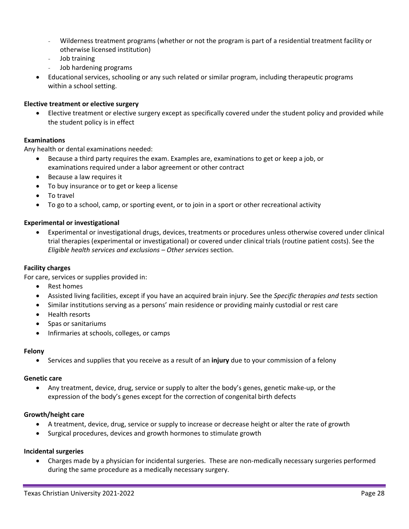- Wilderness treatment programs (whether or not the program is part of a residential treatment facility or otherwise licensed institution)
- Job training
- Job hardening programs
- Educational services, schooling or any such related or similar program, including therapeutic programs within a school setting.

#### **Elective treatment or elective surgery**

• Elective treatment or elective surgery except as specifically covered under the student policy and provided while the student policy is in effect

#### **Examinations**

Any health or dental examinations needed:

- Because a third party requires the exam. Examples are, examinations to get or keep a job, or examinations required under a labor agreement or other contract
- Because a law requires it
- To buy insurance or to get or keep a license
- To travel
- To go to a school, camp, or sporting event, or to join in a sport or other recreational activity

#### **Experimental or investigational**

• Experimental or investigational drugs, devices, treatments or procedures unless otherwise covered under clinical trial therapies (experimental or investigational) or covered under clinical trials (routine patient costs). See the *Eligible health services and exclusions – Other services* section.

#### **Facility charges**

For care, services or supplies provided in:

- Rest homes
- Assisted living facilities, except if you have an acquired brain injury. See the *Specific therapies and tests* section
- Similar institutions serving as a persons' main residence or providing mainly custodial or rest care
- Health resorts
- Spas or sanitariums
- Infirmaries at schools, colleges, or camps

#### **Felony**

• Services and supplies that you receive as a result of an **injury** due to your commission of a felony

#### **Genetic care**

• Any treatment, device, drug, service or supply to alter the body's genes, genetic make-up, or the expression of the body's genes except for the correction of congenital birth defects

#### **Growth/height care**

- A treatment, device, drug, service or supply to increase or decrease height or alter the rate of growth
- Surgical procedures, devices and growth hormones to stimulate growth

#### **Incidental surgeries**

• Charges made by a physician for incidental surgeries. These are non-medically necessary surgeries performed during the same procedure as a medically necessary surgery.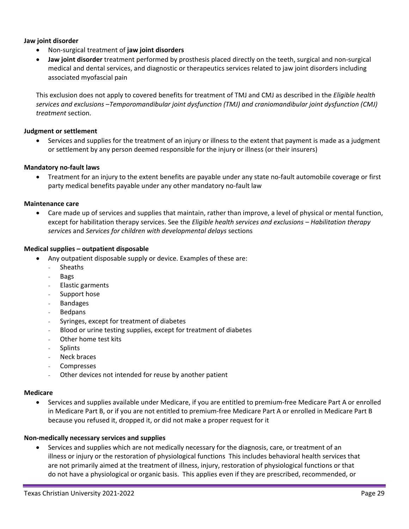#### **Jaw joint disorder**

- Non-surgical treatment of **jaw joint disorders**
- **Jaw joint disorder** treatment performed by prosthesis placed directly on the teeth, surgical and non-surgical medical and dental services, and diagnostic or therapeutics services related to jaw joint disorders including associated myofascial pain

This exclusion does not apply to covered benefits for treatment of TMJ and CMJ as described in the *Eligible health services and exclusions –Temporomandibular joint dysfunction (TMJ) and craniomandibular joint dysfunction (CMJ) treatment* section.

#### **Judgment or settlement**

• Services and supplies for the treatment of an injury or illness to the extent that payment is made as a judgment or settlement by any person deemed responsible for the injury or illness (or their insurers)

#### **Mandatory no-fault laws**

• Treatment for an injury to the extent benefits are payable under any state no-fault automobile coverage or first party medical benefits payable under any other mandatory no-fault law

#### **Maintenance care**

• Care made up of services and supplies that maintain, rather than improve, a level of physical or mental function, except for habilitation therapy services. See the *Eligible health services and exclusions – Habilitation therapy service*s and *Services for children with developmental delays* sections

#### **Medical supplies – outpatient disposable**

- Any outpatient disposable supply or device. Examples of these are:
	- Sheaths
	- Bags
	- Elastic garments
	- Support hose
	- **Bandages**
	- **Bedpans**
	- Syringes, except for treatment of diabetes
	- Blood or urine testing supplies, except for treatment of diabetes
	- Other home test kits
	- **Splints**
	- Neck braces
	- **Compresses**
	- Other devices not intended for reuse by another patient

#### **Medicare**

• Services and supplies available under Medicare, if you are entitled to premium-free Medicare Part A or enrolled in Medicare Part B, or if you are not entitled to premium-free Medicare Part A or enrolled in Medicare Part B because you refused it, dropped it, or did not make a proper request for it

#### **Non-medically necessary services and supplies**

• Services and supplies which are not medically necessary for the diagnosis, care, or treatment of an illness or injury or the restoration of physiological functions This includes behavioral health services that are not primarily aimed at the treatment of illness, injury, restoration of physiological functions or that do not have a physiological or organic basis. This applies even if they are prescribed, recommended, or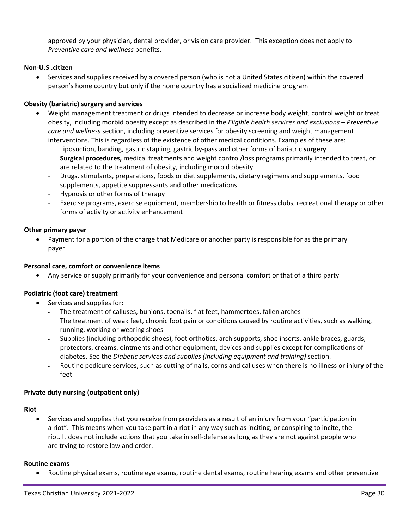approved by your physician, dental provider, or vision care provider. This exception does not apply to *Preventive care and wellness* benefits.

# **Non-U.S .citizen**

• Services and supplies received by a covered person (who is not a United States citizen) within the covered person's home country but only if the home country has a socialized medicine program

## **Obesity (bariatric) surgery and services**

- Weight management treatment or drugs intended to decrease or increase body weight, control weight or treat obesity, including morbid obesity except as described in the *Eligible health services and exclusions – Preventive care and wellness* section, including preventive services for obesity screening and weight management interventions. This is regardless of the existence of other medical conditions. Examples of these are:
	- Liposuction, banding, gastric stapling, gastric by-pass and other forms of bariatric **surgery**
	- **Surgical procedures,** medical treatments and weight control/loss programs primarily intended to treat, or are related to the treatment of obesity, including morbid obesity
	- Drugs, stimulants, preparations, foods or diet supplements, dietary regimens and supplements, food supplements, appetite suppressants and other medications
	- Hypnosis or other forms of therapy
	- Exercise programs, exercise equipment, membership to health or fitness clubs, recreational therapy or other forms of activity or activity enhancement

#### **Other primary payer**

• Payment for a portion of the charge that Medicare or another party is responsible for as the primary payer

#### **Personal care, comfort or convenience items**

• Any service or supply primarily for your convenience and personal comfort or that of a third party

#### **Podiatric (foot care) treatment**

- Services and supplies for:
	- The treatment of calluses, bunions, toenails, flat feet, hammertoes, fallen arches
	- The treatment of weak feet, chronic foot pain or conditions caused by routine activities, such as walking, running, working or wearing shoes
	- Supplies (including orthopedic shoes), foot orthotics, arch supports, shoe inserts, ankle braces, guards, protectors, creams, ointments and other equipment, devices and supplies except for complications of diabetes. See the *Diabetic services and supplies (including equipment and training)* section.
	- Routine pedicure services, such as cutting of nails, corns and calluses when there is no illness or injur**y** of the feet

#### **Private duty nursing (outpatient only)**

#### **Riot**

• Services and supplies that you receive from providers as a result of an injury from your "participation in a riot". This means when you take part in a riot in any way such as inciting, or conspiring to incite, the riot. It does not include actions that you take in self-defense as long as they are not against people who are trying to restore law and order.

#### **Routine exams**

• Routine physical exams, routine eye exams, routine dental exams, routine hearing exams and other preventive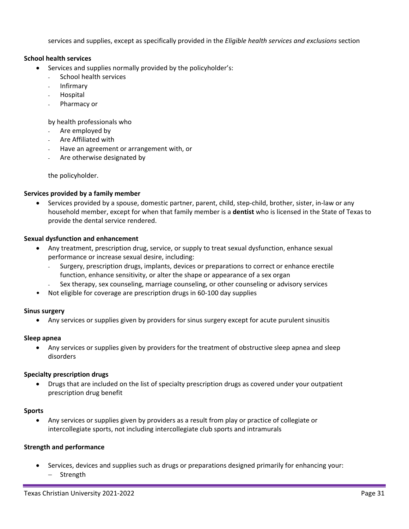services and supplies, except as specifically provided in the *Eligible health services and exclusions* section

## **School health services**

- Services and supplies normally provided by the policyholder's:
	- School health services
	- Infirmary
	- **Hospital**
	- Pharmacy or

by health professionals who

- Are employed by
- Are Affiliated with
- Have an agreement or arrangement with, or
- Are otherwise designated by

the policyholder.

## **Services provided by a family member**

• Services provided by a spouse, domestic partner, parent, child, step-child, brother, sister, in-law or any household member, except for when that family member is a **dentist** who is licensed in the State of Texas to provide the dental service rendered.

## **Sexual dysfunction and enhancement**

- Any treatment, prescription drug, service, or supply to treat sexual dysfunction, enhance sexual performance or increase sexual desire, including:
	- Surgery, prescription drugs, implants, devices or preparations to correct or enhance erectile function, enhance sensitivity, or alter the shape or appearance of a sex organ
	- Sex therapy, sex counseling, marriage counseling, or other counseling or advisory services
- Not eligible for coverage are prescription drugs in 60-100 day supplies

#### **Sinus surgery**

• Any services or supplies given by providers for sinus surgery except for acute purulent sinusitis

#### **Sleep apnea**

• Any services or supplies given by providers for the treatment of obstructive sleep apnea and sleep disorders

#### **Specialty prescription drugs**

• Drugs that are included on the list of specialty prescription drugs as covered under your outpatient prescription drug benefit

#### **Sports**

• Any services or supplies given by providers as a result from play or practice of collegiate or intercollegiate sports, not including intercollegiate club sports and intramurals

#### **Strength and performance**

• Services, devices and supplies such as drugs or preparations designed primarily for enhancing your: − Strength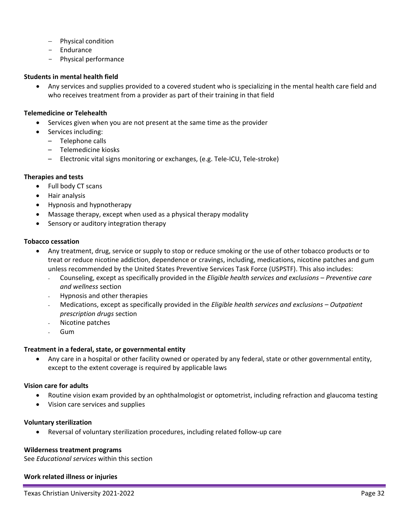- − Physical condition
- Endurance
- Physical performance

#### **Students in mental health field**

• Any services and supplies provided to a covered student who is specializing in the mental health care field and who receives treatment from a provider as part of their training in that field

### **Telemedicine or Telehealth**

- Services given when you are not present at the same time as the provider
- Services including:
	- Telephone calls
	- Telemedicine kiosks
	- Electronic vital signs monitoring or exchanges, (e.g. Tele-ICU, Tele-stroke)

## **Therapies and tests**

- Full body CT scans
- Hair analysis
- Hypnosis and hypnotherapy
- Massage therapy, except when used as a physical therapy modality
- Sensory or auditory integration therapy

#### **Tobacco cessation**

- Any treatment, drug, service or supply to stop or reduce smoking or the use of other tobacco products or to treat or reduce nicotine addiction, dependence or cravings, including, medications, nicotine patches and gum unless recommended by the United States Preventive Services Task Force (USPSTF). This also includes:
	- Counseling, except as specifically provided in the *Eligible health services and exclusions – Preventive care and wellness* section
	- Hypnosis and other therapies
	- Medications, except as specifically provided in the *Eligible health services and exclusions – Outpatient prescription drugs* section
	- Nicotine patches
	- Gum

#### **Treatment in a federal, state, or governmental entity**

• Any care in a hospital or other facility owned or operated by any federal, state or other governmental entity, except to the extent coverage is required by applicable laws

#### **Vision care for adults**

- Routine vision exam provided by an ophthalmologist or optometrist, including refraction and glaucoma testing
- Vision care services and supplies

#### **Voluntary sterilization**

• Reversal of voluntary sterilization procedures, including related follow-up care

#### **Wilderness treatment programs**

See *Educational services* within this section

#### **Work related illness or injuries**

Texas Christian University 2021-2022 Page 32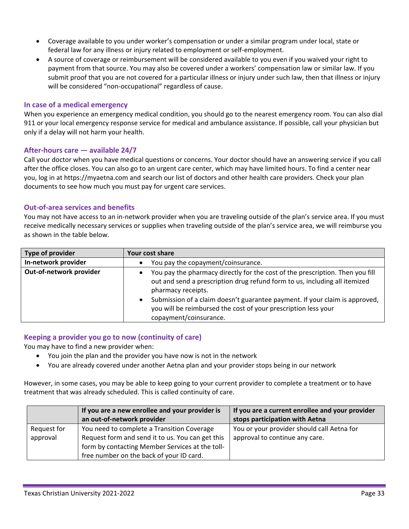- Coverage available to you under worker's compensation or under a similar program under local, state or federal law for any illness or injury related to employment or self-employment.
- A source of coverage or reimbursement will be considered available to you even if you waived your right to payment from that source. You may also be covered under a workers' compensation law or similar law. If you submit proof that you are not covered for a particular illness or injury under such law, then that illness or injury will be considered "non-occupational" regardless of cause.

## **In case of a medical emergency**

When you experience an emergency medical condition, you should go to the nearest emergency room. You can also dial 911 or your local emergency response service for medical and ambulance assistance. If possible, call your physician but only if a delay will not harm your health.

#### **After-hours care — available 24/7**

Call your doctor when you have medical questions or concerns. Your doctor should have an answering service if you call after the office closes. You can also go to an urgent care center, which may have limited hours. To find a center near you, log in at https://myaetna.com and search our list of doctors and other health care providers. Check your plan documents to see how much you must pay for urgent care services.

#### **Out-of-area services and benefits**

You may not have access to an in-network provider when you are traveling outside of the plan's service area. If you must receive medically necessary services or supplies when traveling outside of the plan's service area, we will reimburse you as shown in the table below.

| Type of provider        | Your cost share                                                                                                                                                                      |
|-------------------------|--------------------------------------------------------------------------------------------------------------------------------------------------------------------------------------|
| In-network provider     | You pay the copayment/coinsurance.                                                                                                                                                   |
| Out-of-network provider | You pay the pharmacy directly for the cost of the prescription. Then you fill<br>out and send a prescription drug refund form to us, including all itemized<br>pharmacy receipts.    |
|                         | Submission of a claim doesn't guarantee payment. If your claim is approved,<br>$\bullet$<br>you will be reimbursed the cost of your prescription less your<br>copayment/coinsurance. |

# **Keeping a provider you go to now (continuity of care)**

You may have to find a new provider when:

- You join the plan and the provider you have now is not in the network
- You are already covered under another Aetna plan and your provider stops being in our network

However, in some cases, you may be able to keep going to your current provider to complete a treatment or to have treatment that was already scheduled. This is called continuity of care.

|             | If you are a new enrollee and your provider is   | If you are a current enrollee and your provider |
|-------------|--------------------------------------------------|-------------------------------------------------|
|             | an out-of-network provider                       | stops participation with Aetna                  |
| Request for | You need to complete a Transition Coverage       | You or your provider should call Aetna for      |
| approval    | Request form and send it to us. You can get this | approval to continue any care.                  |
|             | form by contacting Member Services at the toll-  |                                                 |
|             | free number on the back of your ID card.         |                                                 |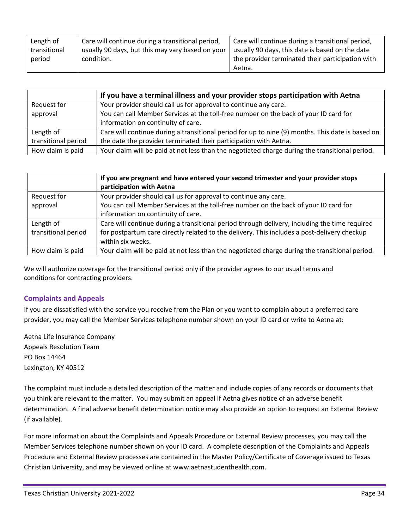| Length of    | Care will continue during a transitional period, | Care will continue during a transitional period, |
|--------------|--------------------------------------------------|--------------------------------------------------|
| transitional | usually 90 days, but this may vary based on your | usually 90 days, this date is based on the date  |
| period       | condition.                                       | the provider terminated their participation with |
|              |                                                  | Aetna.                                           |

|                     | If you have a terminal illness and your provider stops participation with Aetna                  |
|---------------------|--------------------------------------------------------------------------------------------------|
| Request for         | Your provider should call us for approval to continue any care.                                  |
| approval            | You can call Member Services at the toll-free number on the back of your ID card for             |
|                     | information on continuity of care.                                                               |
| Length of           | Care will continue during a transitional period for up to nine (9) months. This date is based on |
| transitional period | the date the provider terminated their participation with Aetna.                                 |
| How claim is paid   | Your claim will be paid at not less than the negotiated charge during the transitional period.   |

|                     | If you are pregnant and have entered your second trimester and your provider stops<br>participation with Aetna |
|---------------------|----------------------------------------------------------------------------------------------------------------|
| Request for         | Your provider should call us for approval to continue any care.                                                |
| approval            | You can call Member Services at the toll-free number on the back of your ID card for                           |
|                     | information on continuity of care.                                                                             |
| Length of           | Care will continue during a transitional period through delivery, including the time required                  |
| transitional period | for postpartum care directly related to the delivery. This includes a post-delivery checkup                    |
|                     | within six weeks.                                                                                              |
| How claim is paid   | Your claim will be paid at not less than the negotiated charge during the transitional period.                 |

We will authorize coverage for the transitional period only if the provider agrees to our usual terms and conditions for contracting providers.

# **Complaints and Appeals**

If you are dissatisfied with the service you receive from the Plan or you want to complain about a preferred care provider, you may call the Member Services telephone number shown on your ID card or write to Aetna at:

Aetna Life Insurance Company Appeals Resolution Team PO Box 14464 Lexington, KY 40512

The complaint must include a detailed description of the matter and include copies of any records or documents that you think are relevant to the matter. You may submit an appeal if Aetna gives notice of an adverse benefit determination. A final adverse benefit determination notice may also provide an option to request an External Review (if available).

For more information about the Complaints and Appeals Procedure or External Review processes, you may call the Member Services telephone number shown on your ID card. A complete description of the Complaints and Appeals Procedure and External Review processes are contained in the Master Policy/Certificate of Coverage issued to Texas Christian University, and may be viewed online at [www.aetnastudenthealth.com.](http://www.aetnastudenthealth.com/)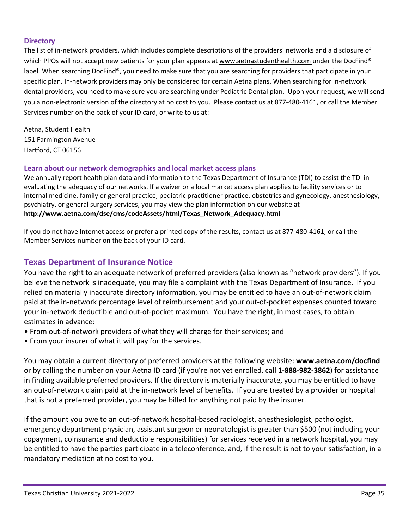# **Directory**

The list of in-network providers, which includes complete descriptions of the providers' networks and a disclosure of which PPOs will not accept new patients for your plan appears a[t www.aetnastudenthealth.com](http://www.aetnastudenthealth.com/) under the DocFind® label. When searching DocFind®, you need to make sure that you are searching for providers that participate in your specific plan. In-network providers may only be considered for certain Aetna plans. When searching for in-network dental providers, you need to make sure you are searching under Pediatric Dental plan. Upon your request, we will send you a non-electronic version of the directory at no cost to you. Please contact us at 877-480-4161, or call the Member Services number on the back of your ID card, or write to us at:

Aetna, Student Health 151 Farmington Avenue Hartford, CT 06156

# **Learn about our network demographics and local market access plans**

We annually report health plan data and information to the Texas Department of Insurance (TDI) to assist the TDI in evaluating the adequacy of our networks. If a waiver or a local market access plan applies to facility services or to internal medicine, family or general practice, pediatric practitioner practice, obstetrics and gynecology, anesthesiology, psychiatry, or general surgery services, you may view the plan information on our website at **http://www.aetna.com/dse/cms/codeAssets/html/Texas\_Network\_Adequacy.html**

If you do not have Internet access or prefer a printed copy of the results, contact us at 877-480-4161, or call the Member Services number on the back of your ID card.

# **Texas Department of Insurance Notice**

You have the right to an adequate network of preferred providers (also known as "network providers"). If you believe the network is inadequate, you may file a complaint with the Texas Department of Insurance. If you relied on materially inaccurate directory information, you may be entitled to have an out-of-network claim paid at the in-network percentage level of reimbursement and your out-of-pocket expenses counted toward your in-network deductible and out-of-pocket maximum. You have the right, in most cases, to obtain estimates in advance:

- From out-of-network providers of what they will charge for their services; and
- From your insurer of what it will pay for the services.

You may obtain a current directory of preferred providers at the following website: **www.aetna.com/docfind**  or by calling the number on your Aetna ID card (if you're not yet enrolled, call **1-888-982-3862**) for assistance in finding available preferred providers. If the directory is materially inaccurate, you may be entitled to have an out-of-network claim paid at the in-network level of benefits. If you are treated by a provider or hospital that is not a preferred provider, you may be billed for anything not paid by the insurer.

If the amount you owe to an out-of-network hospital-based radiologist, anesthesiologist, pathologist, emergency department physician, assistant surgeon or neonatologist is greater than \$500 (not including your copayment, coinsurance and deductible responsibilities) for services received in a network hospital, you may be entitled to have the parties participate in a teleconference, and, if the result is not to your satisfaction, in a mandatory mediation at no cost to you.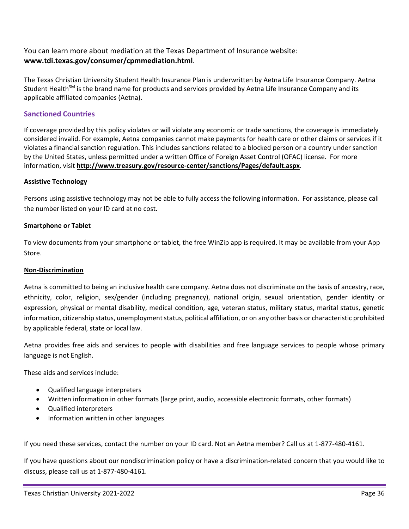# You can learn more about mediation at the Texas Department of Insurance website: **www.tdi.texas.gov/consumer/cpmmediation.html**.

The Texas Christian University Student Health Insurance Plan is underwritten by Aetna Life Insurance Company. Aetna Student Health<sup>SM</sup> is the brand name for products and services provided by Aetna Life Insurance Company and its applicable affiliated companies (Aetna).

# **Sanctioned Countries**

If coverage provided by this policy violates or will violate any economic or trade sanctions, the coverage is immediately considered invalid. For example, Aetna companies cannot make payments for health care or other claims or services if it violates a financial sanction regulation. This includes sanctions related to a blocked person or a country under sanction by the United States, unless permitted under a written Office of Foreign Asset Control (OFAC) license. For more information, visit **<http://www.treasury.gov/resource-center/sanctions/Pages/default.aspx>**.

#### **Assistive Technology**

Persons using assistive technology may not be able to fully access the following information. For assistance, please call the number listed on your ID card at no cost.

#### **Smartphone or Tablet**

To view documents from your smartphone or tablet, the free WinZip app is required. It may be available from your App Store.

#### **Non-Discrimination**

Aetna is committed to being an inclusive health care company. Aetna does not discriminate on the basis of ancestry, race, ethnicity, color, religion, sex/gender (including pregnancy), national origin, sexual orientation, gender identity or expression, physical or mental disability, medical condition, age, veteran status, military status, marital status, genetic information, citizenship status, unemployment status, political affiliation, or on any other basis or characteristic prohibited by applicable federal, state or local law.

Aetna provides free aids and services to people with disabilities and free language services to people whose primary language is not English.

These aids and services include:

- Qualified language interpreters
- Written information in other formats (large print, audio, accessible electronic formats, other formats)
- Qualified interpreters
- Information written in other languages

If you need these services, contact the number on your ID card. Not an Aetna member? Call us at 1-877-480-4161.

If you have questions about our nondiscrimination policy or have a discrimination-related concern that you would like to discuss, please call us at 1-877-480-4161.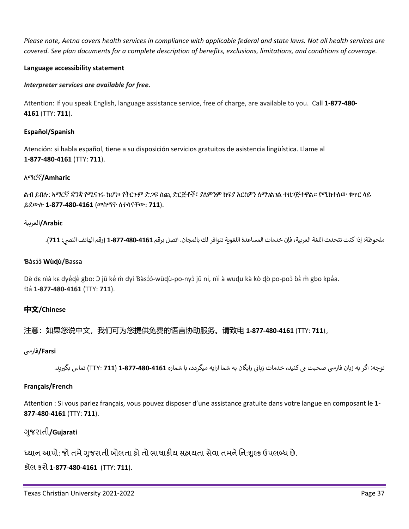*Please note, Aetna covers health services in compliance with applicable federal and state laws. Not all health services are covered. See plan documents for a complete description of benefits, exclusions, limitations, and conditions of coverage.*

## **Language accessibility statement**

## *Interpreter services are available for free.*

Attention: If you speak English, language assistance service, free of charge, are available to you. Call **1-877-480- 4161** (TTY: **711**).

## **Español/Spanish**

Atención: si habla español, tiene a su disposición servicios gratuitos de asistencia lingüística. Llame al **1-877-480-4161** (TTY: **711**).

## አማርኛ**/Amharic**

ልብ ይበሉ: ኣማርኛ ቋንቋ የሚናገሩ ከሆነ፥ የትርጉም ድጋፍ ሰጪ ድርጅቶች፣ ያለምንም ክፍያ እርስዎን ለማገልገል ተዘጋጅተዋል። የሚከተለው ቁጥር ላይ ይደውሉ **1-877-480-4161** (መስማት ለተሳናቸው: **711**).

## Arabic/العربية

ملحوظة: إذا كنت تتحدث اللغة العربية، فإن خدمات المساعدة اللغوية تتوافر لك بالمجان. اتصل برقم **1161-880-1-877** (رقم الهاتف النصي: **711)**.

### **Ɓàsɔɔ̍ ̀Wùɖù/Bassa**

Dè dɛ nìà kɛ dye̓de gbo: ว jǔ ke̓ m̀ dyi Ɓàsɔ̓ɔ̀-wùdุù-po-nyɔ̀ jǔ ni, nìi à wudu kà kò dò po-poɔ̀ ɓɛ่ m̀ gbo kpa॑a. Ɖa̍**1-877-480-4161** (TTY: **711**).

# **中文/Chinese**

注意:如果您说中文,我们可为您提供免费的语言协助服务。请致电 **1-877-480-4161** (TTY: **711**)。

# **Farsi/**فار�

توجه: اگر به زبان فارسی صحبت می کنید، خدمات زبانی رابگان به شما ارایه میگردد، با شماره 11**61-480-877-11 (711**) تماس بگیرید.

#### **Français/French**

Attention : Si vous parlez français, vous pouvez disposer d'une assistance gratuite dans votre langue en composant le **1- 877-480-4161** (TTY: **711**).

# �જરાતી ુ **/Gujarati**

ધ્યાન આપો: જો તમે ગુજરાતી બોલતા હો તો ભાષાકીય સહાયતા સેવા તમને નિ:શુલ્ક ઉપલબ્ધ છે.

કૉલ કરો **1-877-480-4161** (TTY: **711**).